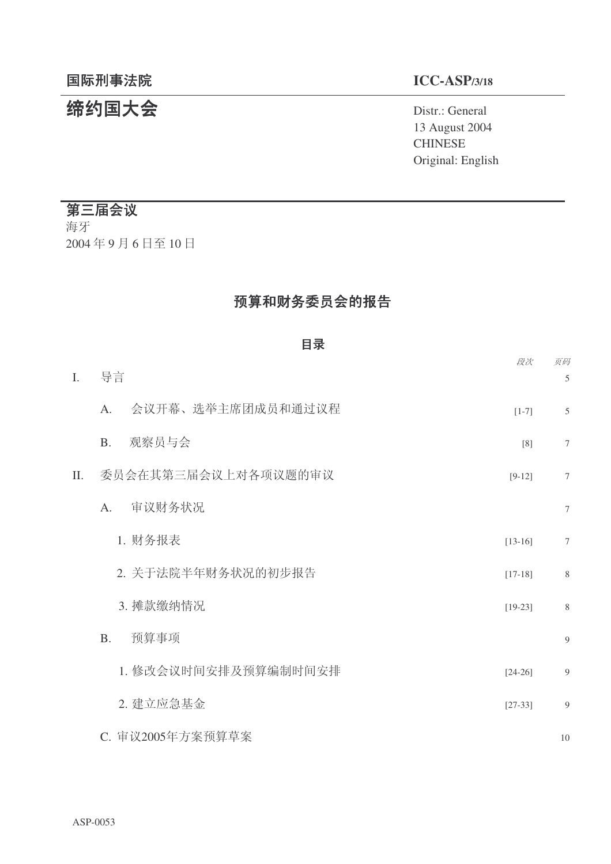# 䰙ߥџ⊩䰶 **ICC-ASP/3/18**

# 统约国大会 **Distr.: General**

13 August 2004 **CHINESE** Original: English

# 第三届会议

海牙 2004年9月6日至10日

# 预算和财务委员会的报告

|     | 目录                      |           |                     |
|-----|-------------------------|-----------|---------------------|
| I.  | 导言                      | 段次        | 页码<br>$\mathfrak s$ |
|     | 会议开幕、选举主席团成员和通过议程<br>A. | $[1-7]$   | $\mathfrak s$       |
|     | 观察员与会<br>B <sub>1</sub> | [8]       | $\boldsymbol{7}$    |
| II. | 委员会在其第三届会议上对各项议题的审议     | $[9-12]$  | $\tau$              |
|     | 审议财务状况<br>A.            |           | $\tau$              |
|     | 1. 财务报表                 | $[13-16]$ | $\tau$              |
|     | 2. 关于法院半年财务状况的初步报告      | $[17-18]$ | $\,$ 8 $\,$         |
|     | 3. 摊款缴纳情况               | $[19-23]$ | $\,$ 8 $\,$         |
|     | 预算事项<br>B.              |           | 9                   |
|     | 1. 修改会议时间安排及预算编制时间安排    | $[24-26]$ | $\overline{9}$      |
|     | 2. 建立应急基金               | $[27-33]$ | $\overline{9}$      |
|     | C. 审议2005年方案预算草案        |           | 10                  |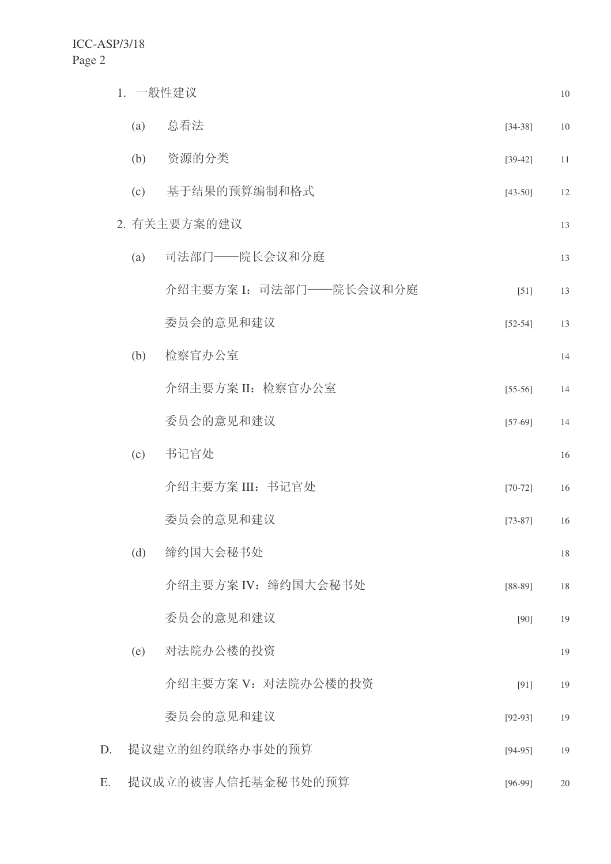|    |     | 1. 一般性建议                |             | 10 |
|----|-----|-------------------------|-------------|----|
|    | (a) | 总看法                     | $[34-38]$   | 10 |
|    | (b) | 资源的分类                   | $[39-42]$   | 11 |
|    | (c) | 基于结果的预算编制和格式            | $[43-50]$   | 12 |
|    |     | 2. 有关主要方案的建议            |             | 13 |
|    | (a) | 司法部门——院长会议和分庭           |             | 13 |
|    |     | 介绍主要方案 I: 司法部门——院长会议和分庭 | $[51]$      | 13 |
|    |     | 委员会的意见和建议               | $[52 - 54]$ | 13 |
|    | (b) | 检察官办公室                  |             | 14 |
|    |     | 介绍主要方案 II: 检察官办公室       | $[55-56]$   | 14 |
|    |     | 委员会的意见和建议               | $[57-69]$   | 14 |
|    | (c) | 书记官处                    |             | 16 |
|    |     | 介绍主要方案 III: 书记官处        | $[70-72]$   | 16 |
|    |     | 委员会的意见和建议               | $[73-87]$   | 16 |
|    | (d) | 缔约国大会秘书处                |             | 18 |
|    |     | 介绍主要方案 IV: 缔约国大会秘书处     | $[88-89]$   | 18 |
|    |     | 委员会的意见和建议               | $[90]$      | 19 |
|    | (e) | 对法院办公楼的投资               |             | 19 |
|    |     | 介绍主要方案 V: 对法院办公楼的投资     | [91]        | 19 |
|    |     | 委员会的意见和建议               | $[92-93]$   | 19 |
| D. |     | 提议建立的纽约联络办事处的预算         | $[94-95]$   | 19 |
| E. |     | 提议成立的被害人信托基金秘书处的预算      | $[96-99]$   | 20 |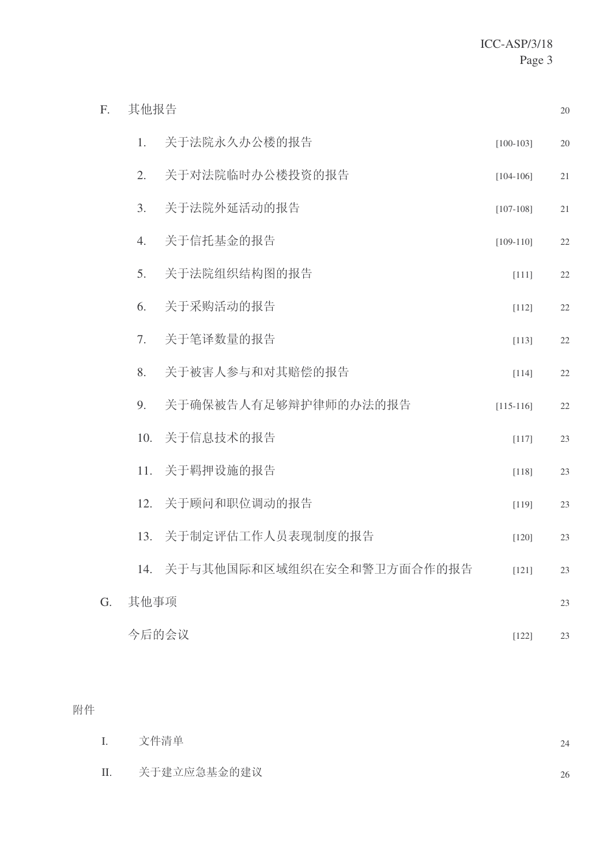| F. | 其他报告 |                           |             | 20 |
|----|------|---------------------------|-------------|----|
|    | 1.   | 关于法院永久办公楼的报告              | $[100-103]$ | 20 |
|    | 2.   | 关于对法院临时办公楼投资的报告           | $[104-106]$ | 21 |
|    | 3.   | 关于法院外延活动的报告               | $[107-108]$ | 21 |
|    | 4.   | 关于信托基金的报告                 | $[109-110]$ | 22 |
|    | 5.   | 关于法院组织结构图的报告              | $[111]$     | 22 |
|    | 6.   | 关于采购活动的报告                 | $[112]$     | 22 |
|    | 7.   | 关于笔译数量的报告                 | $[113]$     | 22 |
|    | 8.   | 关于被害人参与和对其赔偿的报告           | $[114]$     | 22 |
|    | 9.   | 关于确保被告人有足够辩护律师的办法的报告      | $[115-116]$ | 22 |
|    | 10.  | 关于信息技术的报告                 | $[117]$     | 23 |
|    | 11.  | 关于羁押设施的报告                 | $[118]$     | 23 |
|    | 12.  | 关于顾问和职位调动的报告              | [119]       | 23 |
|    | 13.  | 关于制定评估工作人员表现制度的报告         | $[120]$     | 23 |
|    | 14.  | 关于与其他国际和区域组织在安全和警卫方面合作的报告 | $[121]$     | 23 |
| G. | 其他事项 |                           |             | 23 |
|    |      | 今后的会议                     | $[122]$     | 23 |

# 附件

| $\mathbf{I}$ . | 文件清单        | 24 |
|----------------|-------------|----|
| П.             | 关于建立应急基金的建议 | 26 |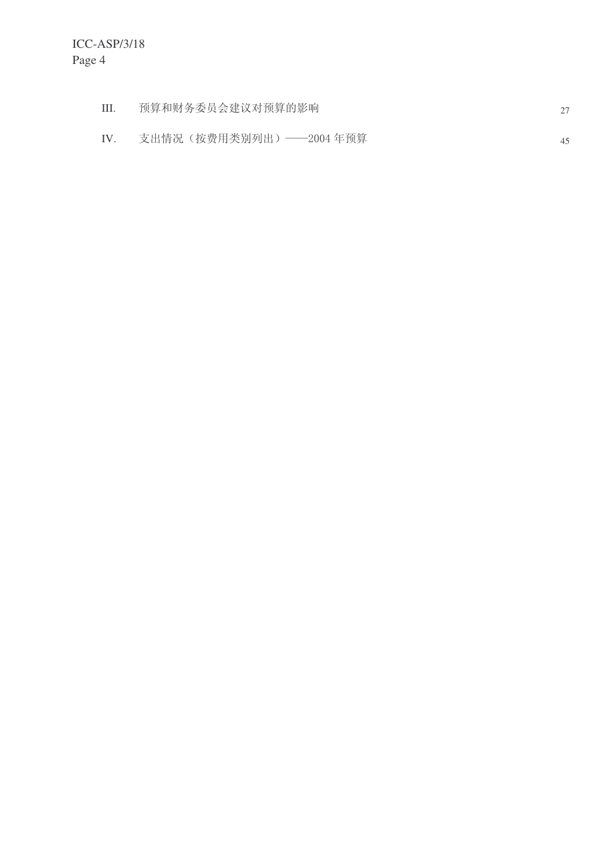| Ш. | 预算和财务委员会建议对预算的影响        |    |
|----|-------------------------|----|
|    | 支出情况(按费用类别列出)——2004 年预算 | 45 |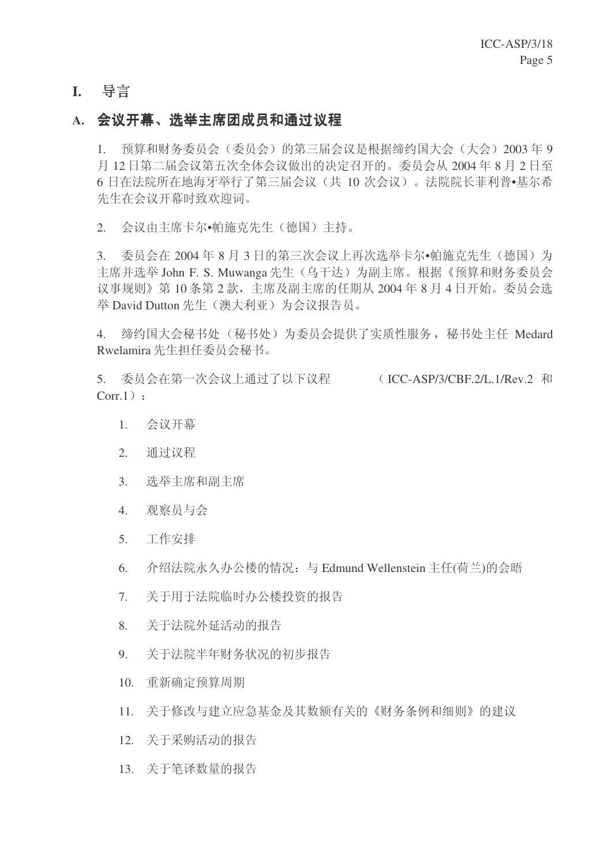# **I.** 导言

# A. 会议开幕、洗举主席团成员和通过议程

1. 预算和财务委员会(委员会)的第三届会议是根据缔约国大会(大会) 2003年9 月12日第二届会议第五次全体会议做出的决定召开的。委员会从2004年8月2日至 6 日在法院所在地海牙举行了第三届会议(共 10 次会议)。法院院长菲利普•基尔希 先生在会议开幕时致欢迎词。

2. 会议由主席卡尔•帕施克先生(德国)主持。

 $3.$  委员会在  $2004$ 年8月3日的第三次会议上再次选举卡尔•帕施克先生(德国)为 主席并选举 John F. S. Muwanga 先生 (乌干达) 为副主席。根据《预算和财务委员会 议事规则》第10条第2款,主席及副主席的任期从2004年8月4日开始。委员会选 举 David Dutton 先生 (澳大利亚) 为会议报告员。

4. 缔约国大会秘书处(秘书处)为委员会提供了实质性服务, 秘书处主任 Medard Rwelamira 先生担任委员会秘书。

5. 委员会在第一次会议上通过了以下议程 (ICC-ASP/3/CBF.2/L.1/Rev.2 和  $Corr.1)$ :

- 1. 会议开幕
- 2. 通过议程
- 3. 洗举主席和副主席
- 4. 观察员与会
- 5. 工作安排
- $6.$  介绍法院永久办公楼的情况: 与 Edmund Wellenstein 主任(荷兰)的会晤
- 7. 关于用于法院临时办公楼投资的报告
- 8. 关于法院外延活动的报告
- 9. 关于法院半年财务状况的初步报告
- 10. 重新确定预算周期
- 11. 关于修改与建立应急基金及其数额有关的《财务条例和细则》的建议
- 12. 关于采购活动的报告
- 13. 关于笔译数量的报告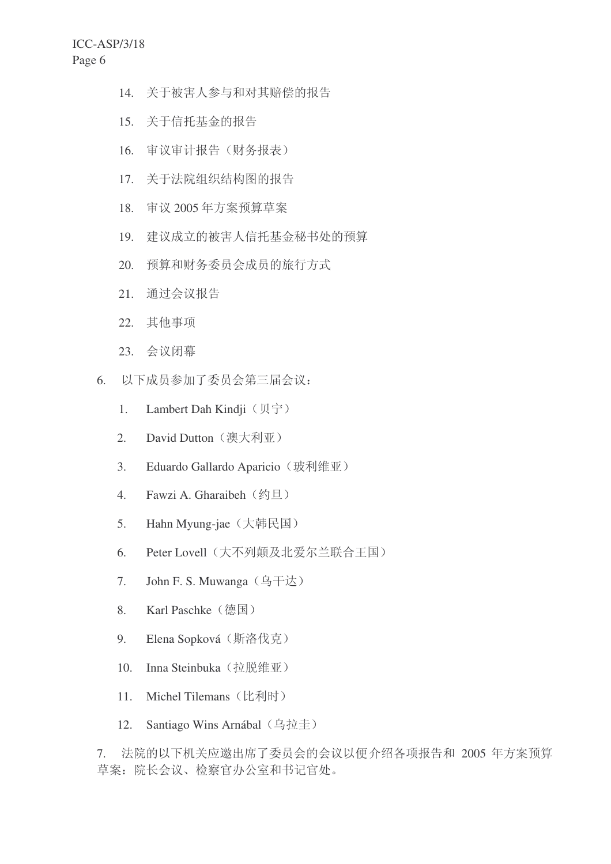- 14. 关于被害人参与和对其赔偿的报告
- 15. 关于信托基金的报告
- 16. 审议审计报告(财务报表)
- 17. 关于法院组织结构图的报告
- 18. 审议 2005年方案预算草案
- 19. 建议成立的被害人信托基金秘书处的预算
- 20. 预算和财务委员会成员的旅行方式
- 21. 通过会议报告
- 22. 其他事项
- 23. 会议闭幕
- 6. 以下成员参加了委员会第三届会议:
	- 1. Lambert Dah Kindji  $(\nabla \hat{\mathcal{F}})$
	- 2. David Dutton (澳大利亚)
	- 3. Eduardo Gallardo Aparicio (玻利维亚)
	- 4. Fawzi A. Gharaibeh (约旦)
	- 5. Hahn Myung-jae (大韩民国)
	- 6. Peter Lovell (大不列颠及北爱尔兰联合王国)
	- 7. John F. S. Muwanga (乌干达)
	- 8. Karl Paschke (德国)
	- 9. Elena Sopková (斯洛伐克)
	- 10. Inna Steinbuka (拉脱维亚)
	- 11. Michel Tilemans (比利时)
	- 12. Santiago Wins Arnábal (乌拉圭)

7. 法院的以下机关应邀出席了委员会的会议以便介绍各项报告和 2005 年方案预算 草案: 院长会议、检察官办公室和书记官处。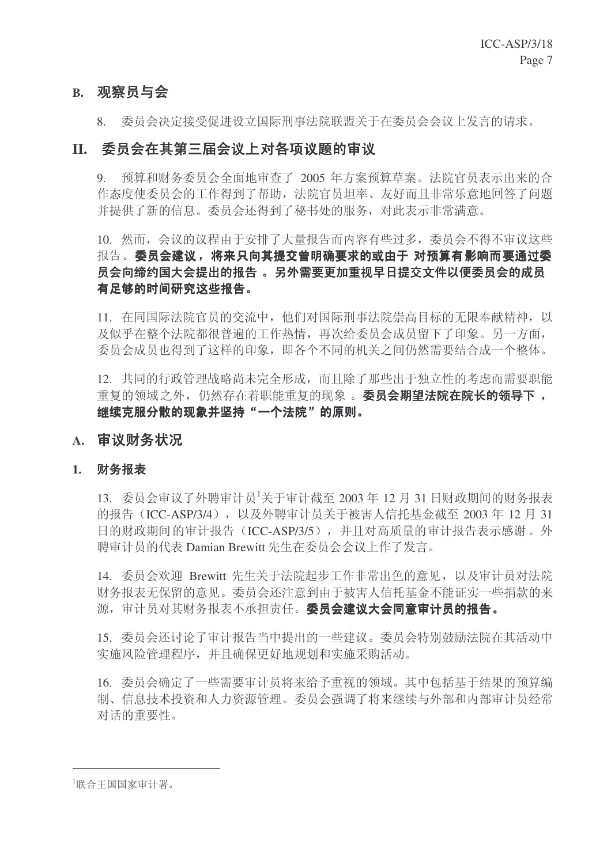# **B.** 观察员与会

8. 委员会决定接受促进设立国际刑事法院联盟关于在委员会会议上发言的请求。

# II. 委员会在其第三届会议上对各项议题的审议

9. 预算和财务委员会全面地审查了 2005 年方案预算草案。法院官员表示出来的合 作态度使委员会的工作得到了帮助, 法院官员坦率、友好而且非常乐意地回答了问题 并提供了新的信息。委员会还得到了秘书处的服务,对此表示非常满意。

# 10. 然而,会议的议程由于安排了大量报告而内容有些过多,委员会不得不审议这些 报告。委员会建议, 将来只向其提交曾明确要求的或由于 对预算有影响而要通过委 员会向缔约国大会提出的报告 。另外需要更加重视早日提交文件以便委员会的成员 有足够的时间研究这些报告。

11. 在同国际法院官员的交流中, 他们对国际刑事法院崇高目标的无限奉献精神, 以 及似乎在整个法院都很普遍的工作热情,再次给委员会成员留下了印象。另一方面, 委员会成员也得到了这样的印象, 即各个不同的机关之间仍然需要结合成一个整体。

12. 共同的行政管理战略尚未完全形成,而且除了那些出于独立性的考虑而需要职能 重复的领域之外, 仍然存在着职能重复的现象。 委员会期望法院在院长的领导下, 继续克服分散的现象并坚持"一个法院"的原则。

# A. 审议财务状况

### 1. 财务报表

13. 委员会审议了外聘审计员<sup>1</sup>关于审计截至 2003 年 12 月 31 日财政期间的财务报表 的报告 (ICC-ASP/3/4), 以及外聘审计员关于被害人信托基金截至 2003 年 12 月 31 日的财政期间的审计报告(ICC-ASP/3/5), 并且对高质量的审计报告表示感谢。外 聘审计员的代表 Damian Brewitt 先生在委员会会议上作了发言。

14. 委员会欢迎 Brewitt 先生关于法院起步工作非常出色的意见, 以及审计员对法院 财务报表无保留的意见。委员会还注意到由于被害人信托基金不能证实一些捐款的来 源,审计员对其财务报表不承担责任。委员会建议大会同意审计员的报告。

15. 委员会还讨论了审计报告当中提出的一些建议。委员会特别鼓励法院在其活动中 实施风险管理程序, 并且确保更好地规划和实施采购活动。

16. 委员会确定了一些需要审计员将来给予重视的领域。其中包括基于结果的预算编 制、信息技术投资和人力资源管理。委员会强调了将来继续与外部和内部审计员经常 对话的重要性。

<sup>1</sup>联合王国国家审计署。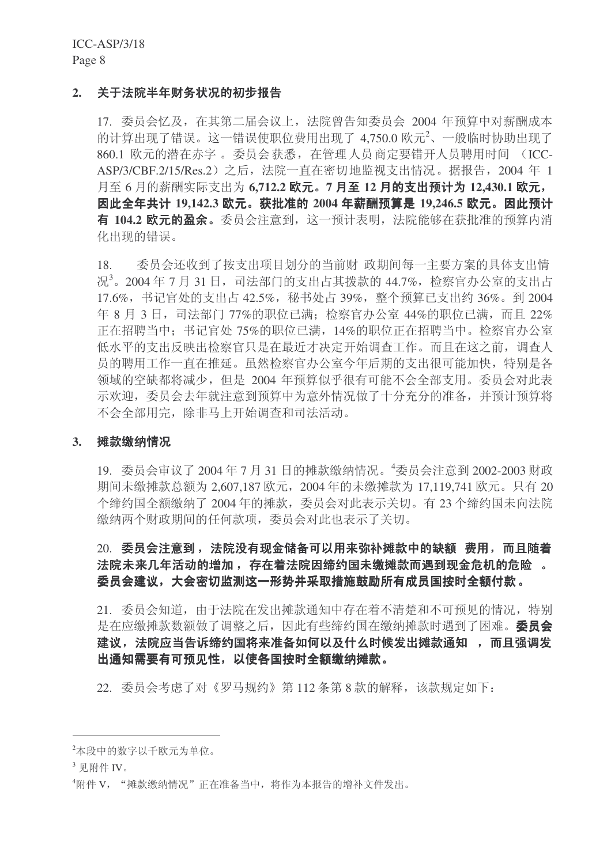ICC-ASP/3/18 Page 8

### 2. 关于法院半年财务状况的初步报告

17. 委员会忆及, 在其第二届会议上, 法院曾告知委员会 2004 年预算中对薪酬成本 的计算出现了错误。这一错误使职位费用出现了 4,750.0 欧元<sup>2</sup>、一般临时协助出现了 860.1 欧元的潜在赤字 。委员会获悉, 在管理人员商定要错开人员聘用时间 (ICC-ASP/3/CBF.2/15/Res.2) 之后, 法院一直在密切地监视支出情况。据报告, 2004 年 1 月至 6 月的薪酬实际支出为 6.712.2 欧元。7 月至 12 月的支出预计为 12.430.1 欧元, 因此全年共计 19,142.3 欧元。获批准的 2004 年薪酬预算是 19,246.5 欧元。因此预计 有 104.2 欧元的盈余。委员会注意到, 这一预计表明, 法院能够在获批准的预算内消 化出现的错误。

18. 委员会还收到了按支出项目划分的当前财 政期间每一主要方案的具体支出情 况<sup>3</sup>。2004年7月31日,司法部门的支出占其拨款的44.7%,检察官办公室的支出占 17.6%, 书记官处的支出占 42.5%, 秘书处占 39%, 整个预算已支出约 36%。到 2004 年 8 月 3 日, 司法部门 77%的职位已满; 检察官办公室 44%的职位已满, 而且 22% 正在招聘当中: 书记官处 75%的职位已满, 14%的职位正在招聘当中。检察官办公室 低水平的支出反映出检察官只是在最近才决定开始调查工作。而且在这之前,调查人 员的聘用工作一直在推延。虽然检察官办公室今年后期的支出很可能加快,特别是各 领域的空缺都将减少, 但是 2004 年预算似乎很有可能不会全部支用。委员会对此表 示欢迎, 委员会去年就注意到预算中为意外情况做了十分充分的准备, 并预计预算将 不会全部用完, 除非马上开始调查和司法活动。

#### 3. 摊款缴纳情况

19. 委员会审议了 2004年7月31日的摊款缴纳情况。<sup>4</sup>委员会注意到 2002-2003 财政 期间未缴摊款总额为 2,607,187 欧元, 2004 年的未缴摊款为 17,119,741 欧元。只有 20 个缔约国全额缴纳了2004年的摊款,委员会对此表示关切。有23个缔约国未向法院 缴纳两个财政期间的任何款项, 委员会对此也表示了关切。

# 20. 委员会注意到, 法院没有现金储备可以用来弥补摊款中的缺额 费用, 而且随着 法院未来几年活动的增加, 存在着法院因缔约国未缴摊款而遇到现金危机的危险 。 委员会建议,大会密切监测这一形势并采取措施鼓励所有成员国按时全额付款。

21. 委员会知道, 由于法院在发出摊款通知中存在着不清楚和不可预见的情况, 特别 是在应缴摊款数额做了调整之后, 因此有些缔约国在缴纳摊款时遇到了困难。 委员会 建议, 法院应当告诉缔约国将来准备如何以及什么时候发出摊款通知, 而且强调发 出通知需要有可预见性,以使各国按时全额缴纳摊款。

22. 委员会考虑了对《罗马规约》第112 条第8款的解释,该款规定如下:

<sup>&</sup>lt;sup>2</sup>本段中的数字以千欧元为单位。

 $3 \n  $\overline{E}$  附件 IV。$ 

<sup>4</sup>附件 V, "摊款缴纳情况"正在准备当中, 将作为本报告的增补文件发出。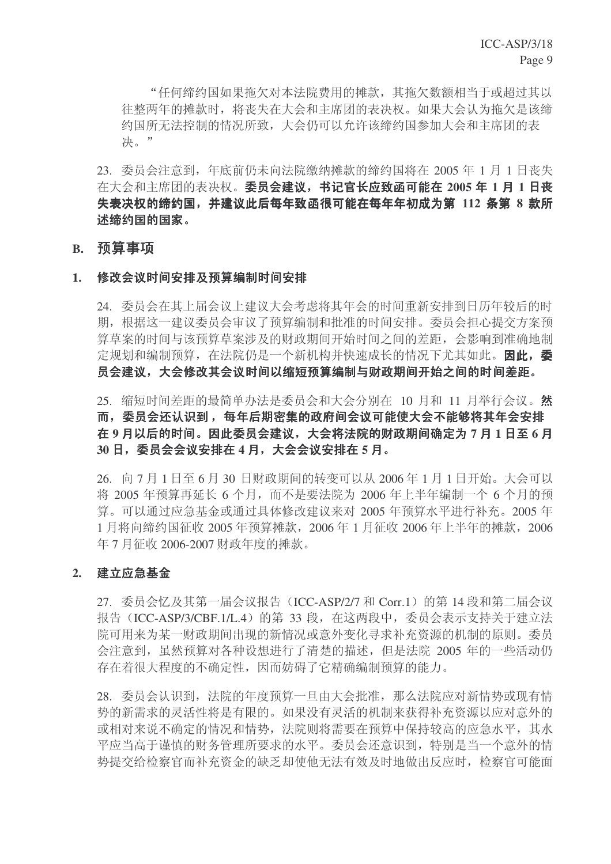"任何缔约国如果拖欠对本法院费用的摊款, 其拖欠数额相当于或超过其以 往整两年的摊款时, 将丧失在大会和主席团的表决权。如果大会认为拖欠是该缔 约国所无法控制的情况所致,大会仍可以允许该缔约国参加大会和主席团的表 决。"

23. 委员会注意到, 年底前仍未向法院缴纳摊款的缔约国将在 2005 年 1 月 1 日丧失 在大会和主席团的表决权。委员会建议,书记官长应致函可能在 2005 年 1 月 1 日丧 失表决权的缔约国,并建议此后每年致函很可能在每年年初成为第 112 条第 8 款所 述缔约国的国家。

### **B.** 预算事项

### 1. 修改会议时间安排及预算编制时间安排

24. 委员会在其上届会议上建议大会考虑将其年会的时间重新安排到日历年较后的时 期, 根据这一建议委员会审议了预算编制和批准的时间安排。委员会担心提交方案预 算草案的时间与该预算草案涉及的财政期间开始时间之间的差距,会影响到准确地制 定规划和编制预算, 在法院仍是一个新机构并快速成长的情况下尤其如此。因此, 委 员会建议,大会修改其会议时间以缩短预算编制与财政期间开始之间的时间差距。

25. 缩短时间差距的最简单办法是委员会和大会分别在 10 月和 11 月举行会议。然 而,委员会还认识到, 每年后期密集的政府间会议可能使大会不能够将其年会安排 在9月以后的时间。因此委员会建议,大会将法院的财政期间确定为7月1日至6月 30 日, 委员会会议安排在 4 月, 大会会议安排在 5 月。

 $26.$  向 7 月 1 日至 6 月 30 日财政期间的转变可以从 2006年1 月 1 日开始。大会可以 将 2005 年预算再延长 6 个月, 而不是要法院为 2006 年上半年编制一个 6 个月的预 算。可以通过应急基金或通过具体修改建议来对 2005 年预算水平进行补充。2005 年 1月将向缔约国征收 2005 年预算摊款, 2006 年 1 月征收 2006 年上半年的摊款, 2006 年7月征收 2006-2007 财政年度的摊款。

### 2. 建立应急基金

 $27.$  委员会忆及其第一届会议报告 (ICC-ASP/2/7 和 Corr.1) 的第 14 段和第二届会议 报告 (ICC-ASP/3/CBF.1/L.4) 的第 33 段, 在这两段中, 委员会表示支持关于建立法 院可用来为某一财政期间出现的新情况或意外变化寻求补充资源的机制的原则。委员 会注意到, 虽然预算对各种设想进行了清楚的描述, 但是法院 2005 年的一些活动仍 存在着很大程度的不确定性,因而妨碍了它精确编制预算的能力。

28. 委员会认识到, 法院的年度预算一旦由大会批准, 那么法院应对新情势或现有情 势的新需求的灵活性将是有限的。如果没有灵活的机制来获得补充资源以应对意外的 或相对来说不确定的情况和情势, 法院则将需要在预算中保持较高的应急水平, 其水 平应当高于谨慎的财务管理所要求的水平。委员会还意识到,特别是当一个意外的情 势提交给检察官而补充资金的缺乏却使他无法有效及时地做出反应时,检察官可能面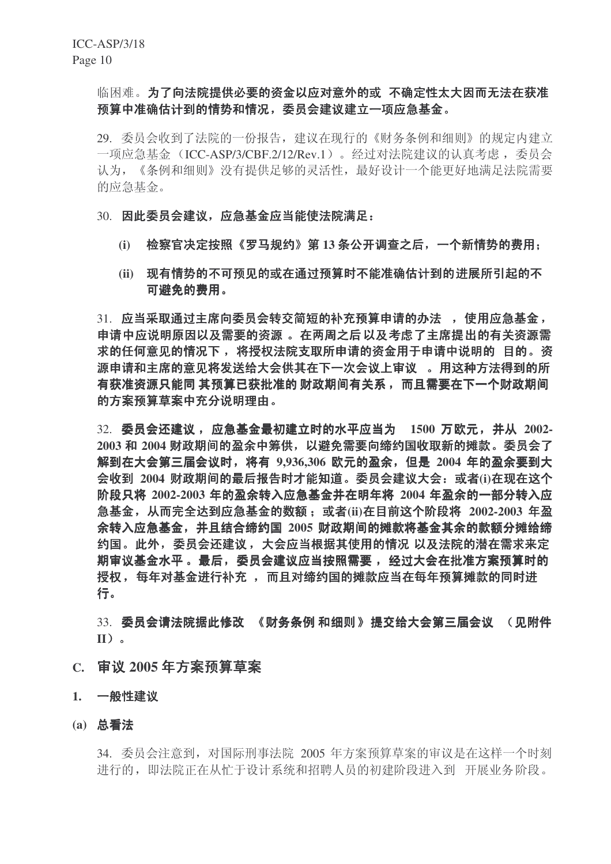# 临困难。为了向法院提供必要的资金以应对意外的或 不确定性太大因而无法在获准 预算中准确估计到的情势和情况,委员会建议建立一项应急基金。

29. 委员会收到了法院的一份报告, 建议在现行的《财务条例和细则》的规定内建立 一项应急基金 (ICC-ASP/3/CBF.2/12/Rev.1)。 经过对法院建议的认真考虑, 委员会 认为, 《条例和细则》没有提供足够的灵活性, 最好设计一个能更好地满足法院需要 的应急基金。

#### 30. 因此委员会建议, 应急基金应当能使法院满足:

- (i) 检察官决定按照《罗马规约》第13 条公开调查之后,一个新情势的费用:
- (ii) 现有情势的不可预见的或在通过预算时不能准确估计到的进展所引起的不 可避免的费用。

31. 应当采取通过主席向委员会转交简短的补充预算申请的办法 , 使用应急基金, 申请中应说明原因以及需要的资源 。在两周之后以及考虑了主席提出的有关资源需 求的任何意见的情况下, 将授权法院支取所申请的资金用于申请中说明的 目的。资 源申请和主席的意见将发送给大会供其在下一次会议上审议 。用这种方法得到的所 有获准资源只能同 其预算已获批准的 财政期间有关系, 而且需要在下一个财政期间 的方案预算草案中充分说明理由。

32. 委员会还建议, 应急基金最初建立时的水平应当为 1500 万欧元, 并从 2002- $2003$  和  $2004$  财政期间的盈余中筹供,以避免需要向缔约国收取新的摊款。委员会了 解到在大会第三届会议时, 将有 9.936.306 欧元的盈余, 但是 2004 年的盈余要到大 会收到 2004 财政期间的最后报告时才能知道。委员会建议大会: 或者(i)在现在这个 阶段只将 2002-2003 年的盈余转入应急基金并在明年将 2004 年盈余的一部分转入应 急基金, 从而完全达到应急基金的数额: 或者(ii)在目前这个阶段将 2002-2003 年盈 余转入应急基金, 并且结合缔约国 2005 财政期间的摊款将基金其余的款额分摊给缔 约国。此外,委员会还建议, 大会应当根据其使用的情况 以及法院的潜在需求来定 期审议基金水平。最后,委员会建议应当按照需要, 经过大会在批准方案预算时的 授权,每年对基金进行补充 , 而且对缔约国的摊款应当在每年预算摊款的同时进 行。

33. 委员会请法院据此修改 《财务条例 和细则》提交给大会第三届会议 (见附件 **II**˅DŽ

- C. 审议 2005 年方案预算草案
- 1. 一般性建议
- (a) 总看法

34. 委员会注意到, 对国际刑事法院 2005 年方案预算草案的审议是在这样一个时刻 进行的,即法院正在从忙于设计系统和招聘人员的初建阶段进入到 开展业务阶段。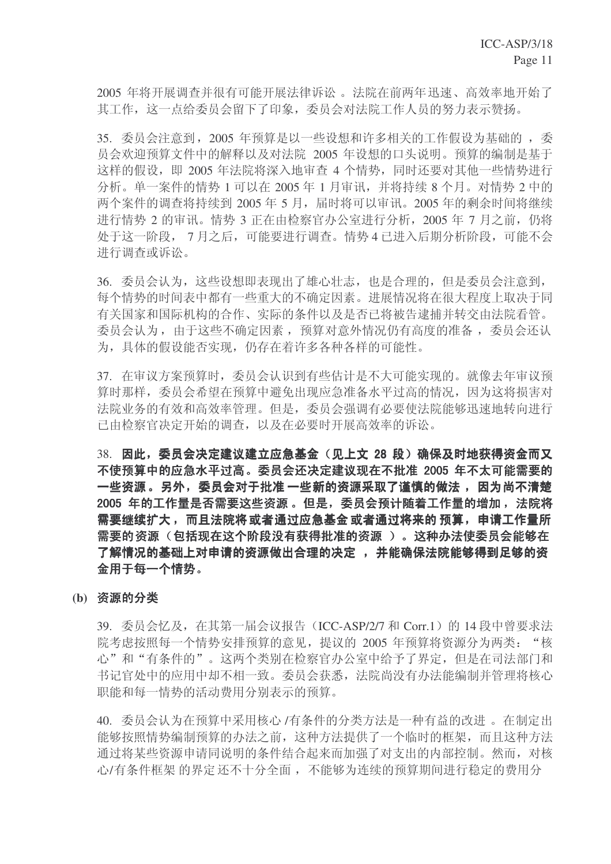2005 年将开展调查并很有可能开展法律诉讼。法院在前两年迅速、高效率地开始了 其工作,这一点给委员会留下了印象,委员会对法院工作人员的努力表示赞扬。

35. 委员会注意到, 2005 年预算是以一些设想和许多相关的工作假设为基础的, 委 员会欢迎预算文件中的解释以及对法院 2005 年设想的口头说明。预算的编制是基于 这样的假设,即 2005 年法院将深入地审查 4 个情势,同时还要对其他一些情势进行 分析。单一案件的情势 1 可以在 2005 年 1 月审讯, 并将持续 8 个月。对情势 2 中的 两个案件的调查将持续到 2005年5月,届时将可以审讯。2005年的剩余时间将继续 进行情势 2 的审讯。情势 3 正在由检察官办公室进行分析, 2005 年 7 月之前, 仍将 处于这一阶段, 7月之后, 可能要进行调查。情势 4 已进入后期分析阶段, 可能不会 进行调查或诉讼。

36. 委员会认为, 这些设想即表现出了雄心壮志, 也是合理的, 但是委员会注意到, 每个情势的时间表中都有一些重大的不确定因素。讲展情况将在很大程度上取决于同 有关国家和国际机构的合作、实际的条件以及是否已将被告逮捕并转交由法院看管。 委员会认为, 由于这些不确定因素, 预算对意外情况仍有高度的准备, 委员会还认 为, 具体的假设能否实现, 仍存在着许多各种各样的可能性。

37. 在审议方案预算时,委员会认识到有些估计是不大可能实现的。就像去年审议预 算时那样, 委员会希望在预算中避免出现应急准备水平过高的情况, 因为这将损害对 法院业务的有效和高效率管理。但是,委员会强调有必要使法院能够迅速地转向进行 己由检察官决定开始的调查,以及在必要时开展高效率的诉讼。

38. 因此,委员会决定建议建立应急基金(见上文 28 段)确保及时地获得资金而又 不使预算中的应急水平过高。委员会还决定建议现在不批准 2005 年不太可能需要的 一些资源。另外,委员会对于批准 一些新的资源采取了谨慎的做法 ,因为尚不清楚 2005 年的工作量是否需要这些资源。但是,委员会预计随着工作量的增加, 法院将 需要继续扩大,而且法院将或者通过应急基金 或者通过将来的 预算,申请工作量所 需要的资源 (包括现在这个阶段没有获得批准的资源 )。这种办法使委员会能够在 了解情况的基础上对申请的资源做出合理的决定 , 并能确保法院能够得到足够的资 金用于每一个情势。

#### (b) 资源的分类

 $39.$  委员会忆及, 在其第一届会议报告 (ICC-ASP/2/7 和 Corr.1) 的 14 段中曾要求法 院考虑按照每一个情势安排预算的意见, 提议的 2005 年预算将资源分为两类: "核 心"和"有条件的"。这两个类别在检察官办公室中给予了界定,但是在司法部门和 书记官处中的应用中却不相一致。委员会获悉, 法院尚没有办法能编制并管理将核心 职能和每一情势的活动费用分别表示的预算。

40. 委员会认为在预算中采用核心 /有条件的分类方法是一种有益的改进。在制定出 能够按照情势编制预算的办法之前,这种方法提供了一个临时的框架,而且这种方法 通过将某些资源申请同说明的条件结合起来而加强了对支出的内部控制。然而, 对核 心/有条件框架 的界定 还不十分全面, 不能够为连续的预算期间进行稳定的费用分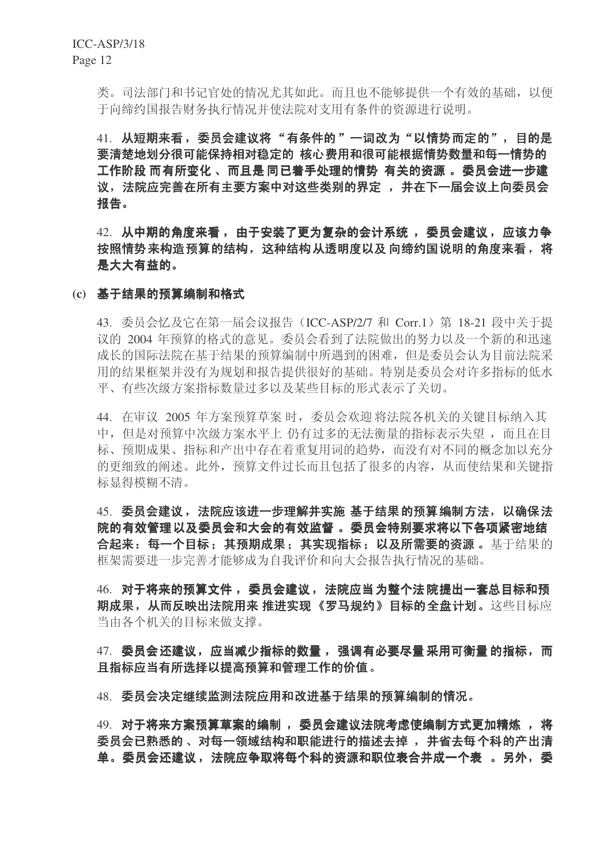类。司法部门和书记官处的情况尤其如此。而且也不能够提供一个有效的基础,以便 于向缔约国报告财务执行情况并使法院对支用有条件的资源进行说明。

41. 从短期来看,委员会建议将"有条件的"一词改为"以情势而定的",目的是 要清楚地划分很可能保持相对稳定的 核心费用和很可能根据情势数量和每一情势的 工作阶段 而有所变化 、而且是 同已着手处理的情势 有关的资源 。委员会进一步建 议, 法院应完善在所有主要方案中对这些类别的界定, 并在下一届会议上向委员会 报告。

42. 从中期的角度来看,由于安装了更为复杂的会计系统,委员会建议,应该力争 按照情势来构造预算的结构,这种结构从透明度以及 向缔约国说明的角度来看,将 是大大有益的。

(c) 基于结果的预算编制和格式

43. 委员会忆及它在第一届会议报告 (ICC-ASP/2/7 和 Corr.1) 第 18-21 段中关于提 议的 2004 年预算的格式的意见。委员会看到了法院做出的努力以及一个新的和迅速 成长的国际法院在基于结果的预算编制中所遇到的困难,但是委员会认为目前法院采 用的结果框架并没有为规划和报告提供很好的基础。特别是委员会对许多指标的低水 平、有些次级方案指标数量讨多以及某些目标的形式表示了关切。

44. 在审议 2005 年方案预算草案 时, 委员会欢迎将法院各机关的关键目标纳入其 中, 但是对预算中次级方案水平上 仍有过多的无法衡量的指标表示失望, 而且在目 标、预期成果、指标和产出中存在着重复用词的趋势,而没有对不同的概念加以充分 的更细致的阐述。此外, 预算文件过长而且包括了很多的内容, 从而使结果和关键指 标显得模糊不清。

45. 委员会建议, 法院应该进一步理解并实施 基于结果的预算编制方法, 以确保法 院的有效管理以及委员会和大会的有效监督 。委员会特别要求将以下各项紧密地结 合起来: 每一个目标: 其预期成果: 其实现指标: 以及所需要的资源 。 基于结果的 框架需要进一步完善才能够成为自我评价和向大会报告执行情况的基础。

46. 对于将来的预算文件, 委员会建议, 法院应当为整个法院提出一套总目标和预 期成果,从而反映出法院用来 推进实现《罗马规约》目标的全盘计划。这些目标应 当由各个机关的目标来做支撑。

47. 委员会还建议, 应当减少指标的数量, 强调有必要尽量采用可衡量的指标, 而 且指标应当有所选择以提高预算和管理工作的价值。

48. 委员会决定继续监测法院应用和改讲基于结果的预算编制的情况。

49. 对于将来方案预算草案的编制, 委员会建议法院考虑使编制方式更加精炼, 将 委员会已熟悉的、 对每一领域结构和职能进行的描述去掉 , 并省去每个科的产出清 单。委员会还建议, 法院应争取将每个科的资源和职位表合并成一个表 。 另外,委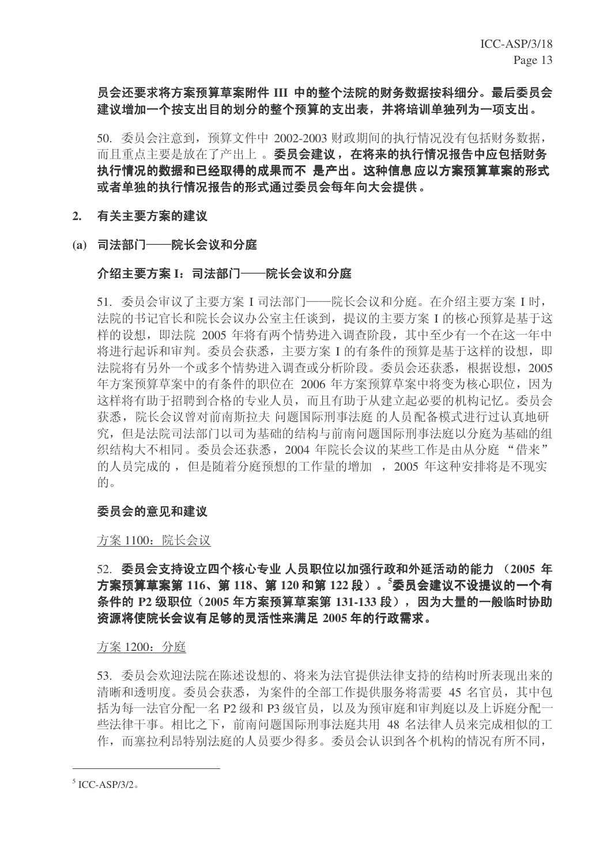# 员会还要求将方案预算草案附件 III 中的整个法院的财务数据按科细分。最后委员会 建议增加一个按支出目的划分的整个预算的支出表,并将培训单独列为一项支出。

50. 委员会注意到, 预算文件中 2002-2003 财政期间的执行情况没有包括财务数据, 而且重点主要是放在了产出上。委员会建议,在将来的执行情况报告中应包括财务 执行情况的数据和已经取得的成果而不 是产出。这种信息应以方案预算草案的形式 或者单独的执行情况报告的形式通过委员会每年向大会提供。

# 2. 有关主要方案的建议

(a) 司法部门 -- 院长会议和分庭

# 介绍主要方案 I:司法部门──院长会议和分庭

51. 委员会审议了主要方案 I 司法部门——院长会议和分庭。在介绍主要方案 I 时, 法院的书记官长和院长会议办公室主任谈到, 提议的主要方案 I 的核心预算是基于这 样的设想, 即法院 2005 年将有两个情势讲入调杳阶段, 其中至少有一个在这一年中 将讲行起诉和审判。委员会获悉, 主要方案 I 的有条件的预算是基于这样的设想, 即 法院将有另外一个或多个情势进入调杳或分析阶段。委员会还获悉,根据设想, 2005 年方案预算草案中的有条件的职位在 2006 年方案预算草案中将变为核心职位,因为 这样将有助于招聘到合格的专业人员,而且有助于从建立起必要的机构记忆。委员会 获悉,院长会议曾对前南斯拉夫 问题国际刑事法庭 的人员配备模式进行过认真地研 究, 但是法院司法部门以司为基础的结构与前南问题国际刑事法庭以分庭为基础的组 织结构大不相同。委员会还获悉, 2004 年院长会议的某些工作是由从分庭"借来" 的人员完成的, 但是随着分庭预想的工作量的增加, 2005 年这种安排将是不现实 的。

# 委员会的意见和建议

### 方案 1100: 院长会议

# $52.$  委员会支持设立四个核心专业 人员职位以加强行政和外延活动的能力 (2005 年 方案预算草案第 116、第 118、第 120 和第 122 段)。<sup>5</sup>委员会建议不设提议的一个有 条件的 P2 级职位 (2005 年方案预算草案第 131-133 段), 因为大量的一般临时协助 资源将使院长会议有足够的灵活性来满足 2005 年的行政需求。

### 方案 1200: 分庭

53. 委员会欢迎法院在陈述设想的、将来为法官提供法律支持的结构时所表现出来的 清晰和透明度。委员会获悉, 为案件的全部工作提供服务将需要 45 名官员, 其中包 括为每一法官分配一名 P2 级和 P3 级官员, 以及为预审庭和审判庭以及上诉庭分配一 些法律干事。相比之下, 前南问题国际刑事法庭共用 48 名法律人员来完成相似的工 作,而塞拉利昂特别法庭的人员要少得多。委员会认识到各个机构的情况有所不同,

 $5$  ICC-ASP/3/2.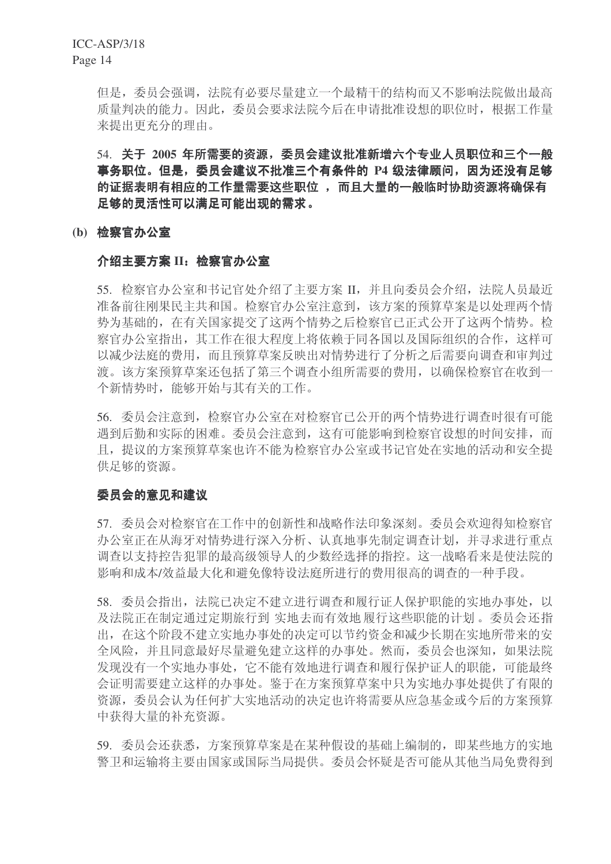但是, 委员会强调, 法院有必要尽量建立一个最精干的结构而又不影响法院做出最高 质量判决的能力。因此,委员会要求法院今后在申请批准设想的职位时,根据工作量 来提出更充分的理由。

54. 关于 2005 年所需要的资源, 委员会建议批准新增六个专业人员职位和三个一般 事务职位。但是,委员会建议不批准三个有条件的 P4 级法律顾问,因为还没有足够 的证据表明有相应的工作量需要这些职位,而且大量的一般临时协助资源将确保有 足够的灵活性可以满足可能出现的需求。

### (b) 检察官办公室

### 介绍主要方案 II: 检察官办公室

55. 检察官办公室和书记官处介绍了主要方案 II. 并且向委员会介绍, 法院人员最近 准备前往刚果民主共和国。检察官办公室注意到,该方案的预算草案是以处理两个情 势为基础的, 在有关国家提交了这两个情势之后检察官已正式公开了这两个情势。检 察官办公室指出, 其工作在很大程度上将依赖于同各国以及国际组织的合作, 这样可 以减少法庭的费用,而且预算草案反映出对情势进行了分析之后需要向调查和审判过 渡。该方案预算草案还包括了第三个调杳小组所需要的费用,以确保检察官在收到一 个新情势时, 能够开始与其有关的工作。

56. 委员会注意到, 检察官办公室在对检察官已公开的两个情势进行调查时很有可能 遇到后勤和实际的困难。委员会注意到, 这有可能影响到检察官设想的时间安排, 而 日,提议的方案预算草案也许不能为检察官办公室或书记官处在实地的活动和安全提 供足够的资源。

# 委员会的意见和建议

57. 委员会对检察官在工作中的创新性和战略作法印象深刻。委员会欢迎得知检察官 办公室正在从海牙对情势进行深入分析、认真地事先制定调查计划,并寻求进行重点 调杳以支持控告犯罪的最高级领导人的少数经选择的指控。这一战略看来是使法院的 影响和成本/效益最大化和避免像特设法庭所进行的费用很高的调查的一种手段。

58. 委员会指出, 法院已决定不建立进行调查和履行证人保护职能的实地办事处, 以 及法院正在制定通过定期旅行到 实地去而有效地 履行这些职能的计划。委员会还指 出, 在这个阶段不建立实地办事处的决定可以节约资金和减少长期在实地所带来的安 全风险,并且同意最好尽量避免建立这样的办事处。然而,委员会也深知,如果法院 发现没有一个实地办事处,它不能有效地进行调查和履行保护证人的职能,可能最终 会证明需要建立这样的办事处。鉴于在方案预算草案中只为实地办事处提供了有限的 资源, 委员会认为任何扩大实地活动的决定也许将需要从应急基金或今后的方案预算 中获得大量的补充资源。

59. 委员会还获悉, 方案预算草案是在某种假设的基础上编制的, 即某些地方的实地 警卫和运输将主要由国家或国际当局提供。委员会怀疑是否可能从其他当局免费得到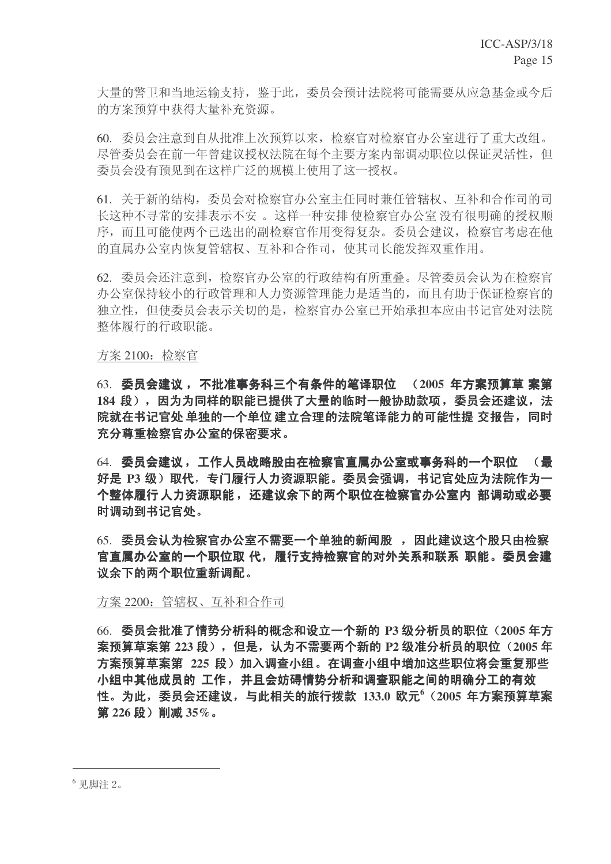大量的警卫和当地运输支持, 鉴于此, 委员会预计法院将可能需要从应急基金或今后 的方案预算中获得大量补充资源。

60. 委员会注意到自从批准上次预算以来, 检察官对检察官办公室进行了重大改组。 尽管委员会在前一年曾建议授权法院在每个主要方案内部调动职位以保证灵活性,但 委员会没有预见到在这样广泛的规模上使用了这一授权。

61. 关于新的结构, 委员会对检察官办公室主任同时兼任管辖权、互补和合作司的司 长这种不寻常的安排表示不安。这样一种安排 使检察官办公室 没有很明确的授权顺 序,而且可能使两个已选出的副检察官作用变得复杂。委员会建议,检察官考虑在他 的直属办公室内恢复管辖权、互补和合作司, 使其司长能发挥双重作用。

62. 委员会还注意到, 检察官办公室的行政结构有所重叠。尽管委员会认为在检察官 办公室保持较小的行政管理和人力资源管理能力是适当的,而且有助于保证检察官的 独立性,但使委员会表示关切的是,检察官办公室已开始承担本应由书记官处对法院 整体履行的行政职能。

方案 2100: 检察官

63. 委员会建议, 不批准事务科三个有条件的笔译职位 (2005 年方案预算草 案第 184 段),因为为同样的职能已提供了大量的临时一般协助款项,委员会还建议,法 院就在书记官处 单独的一个单位 建立合理的法院笔译能力的可能性提 交报告,同时 充分尊重检察官办公室的保密要求。

64. 委员会建议,工作人员战略股由在检察官直属办公室或事务科的一个职位 (最 好是 P3 级)取代,专门履行人力资源职能。委员会强调,书记官处应为法院作为一 个整体履行 人力资源职能, 还建议余下的两个职位在检察官办公室内 部调动或必要 时调动到书记官处。

65. 委员会认为检察官办公室不需要一个单独的新闻股, 因此建议这个股只由检察 官直属办公室的一个职位取 代,履行支持检察官的对外关系和联系 职能。委员会建 议余下的两个职位重新调配。

方案 2200: 管辖权、互补和合作司

66. 委员会批准了情势分析科的概念和设立一个新的 P3 级分析员的职位 (2005 年方 案预算草案第 223 段), 但是, 认为不需要两个新的 P2 级准分析员的职位 (2005 年 方案预算草案第 225 段) 加入调查小组。在调查小组中增加这些职位将会重复那些 小组中其他成员的 工作, 并且会妨碍情势分析和调查职能之间的明确分工的有效 性。为此,委员会还建议,与此相关的旅行拨款 133.0 欧元<sup>6</sup> (2005 年方案预算草案 第 226 段) 削减 35%。

<sup>6</sup> 见脚注 2。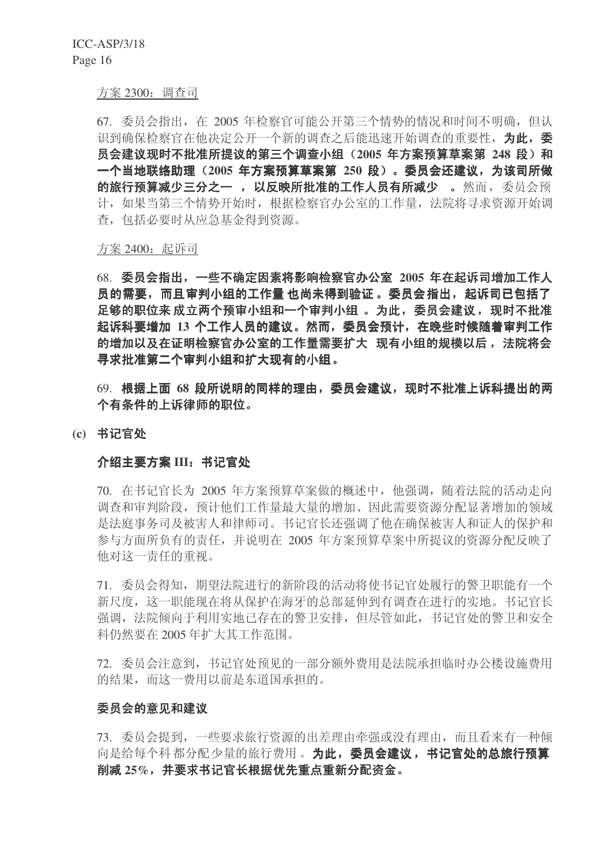#### 方案 2300: 调查司

67. 委员会指出, 在 2005 年检察官可能公开第三个情势的情况和时间不明确, 但认 识到确保检察官在他决定公开一个新的调查之后能迅速开始调查的重要性, 为此, 委 员会建议现时不批准所提议的第三个调查小组 (2005 年方案预算草案第 248 段) 和 一个当地联络助理(2005 年方案预算草案第 250 段)。委员会还建议,为该司所做 的旅行预算减少三分之一, 以反映所批准的工作人员有所减少 。然而, 委员会预 计,如果当第三个情势开始时,根据检察官办公室的工作量,法院将寻求资源开始调 杳, 包括必要时从应急基金得到资源。

方案 2400: 起诉司

68. 委员会指出, 一些不确定因素将影响检察官办公室 2005 年在起诉司增加工作人 员的需要,而且审判小组的工作量 也尚未得到验证 。委员会指出,起诉司已包括了 足够的职位来 成立两个预审小组和一个审判小组 。为此,委员会建议,现时不批准 起诉科要增加 13 个工作人员的建议。然而,委员会预计,在晚些时候随着审判工作 的增加以及在证明检察官办公室的工作量需要扩大 现有小组的规模以后, 法院将会 寻求批准第二个审判小组和扩大现有的小组。

69. 根据上面 68 段所说明的同样的理由, 委员会建议, 现时不批准上诉科提出的两 个有条件的上诉律师的职位。

#### (c) 书记官处

#### 介绍主要方案 III: 书记官处

70. 在书记官长为 2005 年方案预算草案做的概述中, 他强调, 随着法院的活动走向 调杳和审判阶段, 预计他们工作量最大量的增加、因此需要资源分配显著增加的领域 是法庭事务司及被害人和律师司。书记官长还强调了他在确保被害人和证人的保护和 参与方面所负有的责任,并说明在 2005 年方案预算草案中所提议的资源分配反映了 他对这一责任的重视。

71. 委员会得知, 期望法院进行的新阶段的活动将使书记官处履行的警卫职能有一个 新尺度, 这一职能现在将从保护在海牙的总部延伸到有调查在进行的实地。书记官长 强调, 法院倾向于利用实地已存在的警卫安排, 但尽管如此, 书记官处的警卫和安全 科仍然要在 2005 年扩大其工作范围。

72. 委员会注意到, 书记官处预见的一部分额外费用是法院承担临时办公楼设施费用 的结果,而这一费用以前是东道国承担的。

#### 委员会的意见和建议

73. 委员会提到, 一些要求旅行资源的出差理由牵强或没有理由, 而且看来有一种倾 向是给每个科都分配少量的旅行费用。为此,委员会建议,书记官处的总旅行预算 削减 25%, 并要求书记官长根据优先重点重新分配资金。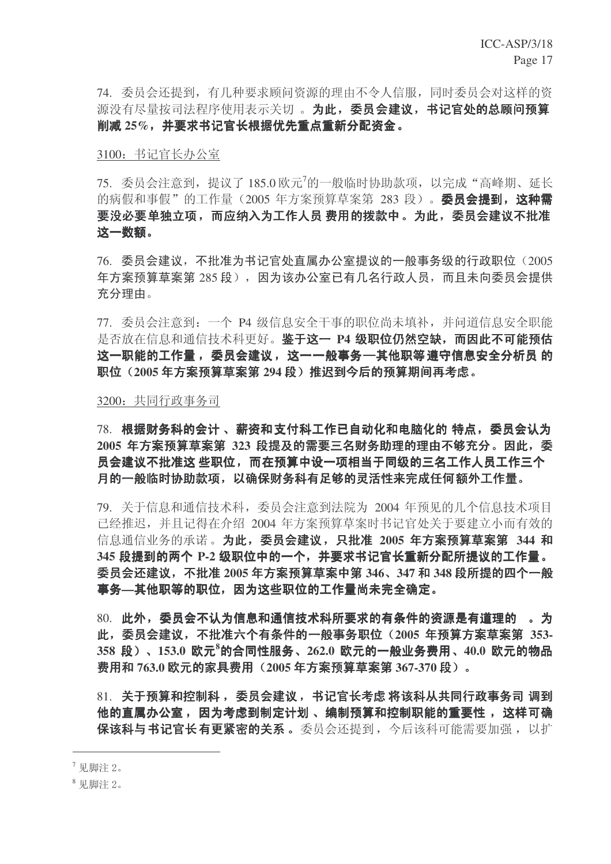74. 委员会还提到, 有几种要求顾问资源的理由不令人信服, 同时委员会对这样的资 源没有尽量按司法程序使用表示关切。为此, 委员会建议, 书记官处的总顾问预算 削减 25%, 并要求书记官长根据优先重点重新分配资金。

3100: 书记官长办公室

75. 委员会注意到, 提议了 185.0 欧元<sup>7</sup>的一般临时协助款项, 以完成"高峰期、延长 的病假和事假"的工作量 (2005 年方案预算草案第 283 段)。 委员会提到, 这种需 要没必要单独立项,而应纳入为工作人员 费用的拨款中。为此,委员会建议不批准 这一数额。

76. 委员会建议, 不批准为书记官处直属办公室提议的一般事务级的行政职位 (2005 年方案预算草案第 285 段), 因为该办公室已有几名行政人员, 而且未向委员会提供 充分理由。

77. 委员会注意到: 一个 P4 级信息安全干事的职位尚未填补, 并问道信息安全职能 是否放在信息和通信技术科更好。鉴于这一 P4 级职位仍然空缺,而因此不可能预估 这一职能的工作量,委员会建议,这一一般事务—其他职等遵守信息安全分析员 的 职位 (2005年方案预算草案第 294 段) 推迟到今后的预算期间再考虑。

3200: 共同行政事务司

78. 根据财务科的会计、薪资和支付科工作已自动化和电脑化的 特点,委员会认为 2005 年方案预算草案第 323 段提及的需要三名财务助理的理由不够充分。因此,委 员会建议不批准这 些职位,而在预算中设一项相当于同级的三名工作人员工作三个 月的一般临时协助款项,以确保财务科有足够的灵活性来完成任何额外工作量。

79. 关于信息和通信技术科, 委员会注意到法院为 2004 年预见的几个信息技术项目 已经推迟,并且记得在介绍 2004 年方案预算草案时书记官处关于要建立小而有效的 信息通信业务的承诺。为此,委员会建议,只批准 2005 年方案预算草案第 344 和 345 段提到的两个 P-2 级职位中的一个,并要求书记官长重新分配所提议的工作量。 委员会还建议, 不批准 2005 年方案预算草案中第 346、347 和 348 段所提的四个一般 事务—其他职等的职位, 因为这些职位的工作量尚未完全确定。

80. 此外,委员会不认为信息和通信技术科所要求的有条件的资源是有道理的。。为 此,委员会建议,不批准六个有条件的一般事务职位 (2005 年预算方案草案第 353-358 段)、153.0 欧元<sup>8</sup>的合同性服务、262.0 欧元的一般业务费用、40.0 欧元的物品 费用和 763.0 欧元的家具费用 (2005 年方案预算草案第 367-370 段) 。

 $81.$  关于预算和控制科,委员会建议,书记官长考虑 将该科从共同行政事务司 调到 他的直属办公室,因为考虑到制定计划、编制预算和控制职能的重要性,这样可确 保该科与书记官长有更紧密的关系。委员会还提到,今后该科可能需要加强, 以扩

 $7 \n *ℝ*$   $\n *Re*$   $\overline{E}$   $\overline{E}$   $\overline{E}$   $\overline{E}$   $\overline{E}$   $\overline{E}$   $\overline{E}$   $\overline{E}$   $\overline{E}$   $\overline{E}$   $\overline{E}$   $\overline{E}$   $\overline{E}$   $\overline{E}$   $\overline{E}$   $\overline{E}$   $\overline{E}$   $\overline{E}$   $\overline{E}$   $\overline{E}$   $\overline{E}$   $\overline$ 

<sup>8</sup> 见脚注 2。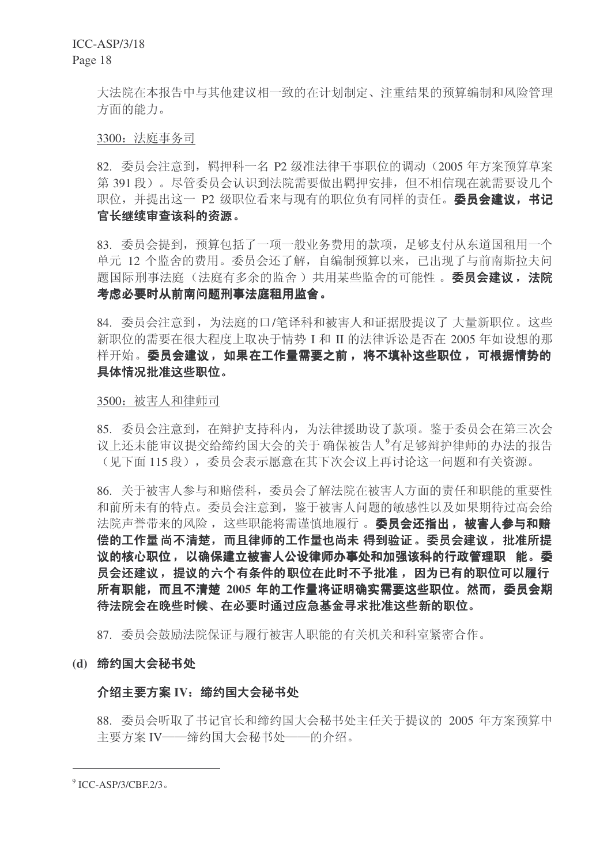ICC-ASP/3/18 Page 18

> 大法院在本报告中与其他建议相一致的在计划制定、注重结果的预算编制和风险管理 方面的能力。

#### 3300: 法庭事务司

82. 委员会注意到, 羁押科一名 P2 级准法律干事职位的调动 (2005 年方案预算草案 第 391 段)。尽管委员会认识到法院需要做出羁押安排, 但不相信现在就需要设几个 职位, 并提出这一 P2 级职位看来与现有的职位负有同样的责任。委员会建议, 书记 官长继续审查该科的资源。

83. 委员会提到, 预算包括了一项一般业务费用的款项, 足够支付从东道国和用一个 单元 12 个监舍的费用。委员会还了解, 自编制预算以来, 已出现了与前南斯拉夫问 题国际刑事法庭(法庭有多余的监舍)共用某些监舍的可能性。委员会建议,法院 考虑必要时从前南问题刑事法庭租用监舍。

84. 委员会注意到, 为法庭的口/笔译科和被害人和证据股提议了大量新职位。这些 新职位的需要在很大程度上取决于情势 I 和 II 的法律诉讼是否在 2005 年如设想的那 样开始。委员会建议,如果在工作量需要之前,将不填补这些职位,可根据情势的 具体情况批准这些职位。

#### 3500: 被害人和律师司

85. 委员会注意到, 在辩护支持科内, 为法律援助设了款项。鉴于委员会在第三次会 议上还未能审议提交给缔约国大会的关于确保被告人<sup>9</sup>有足够辩护律师的办法的报告 (见下面115 段), 委员会表示愿意在其下次会议上再讨论这一问题和有关资源。

86. 关于被害人参与和赔偿科, 委员会了解法院在被害人方面的责任和职能的重要性 和前所未有的特点。委员会注意到, 鉴于被害人问题的敏感性以及如果期待过高会给 法院声誉带来的风险, 这些职能将需谨慎地履行。 委员会还指出, 被害人参与和赔 偿的工作量 尚不清楚,而且律师的工作量也尚未 得到验证。委员会建议,批准所提 议的核心职位,以确保建立被害人公设律师办事处和加强该科的行政管理职 能。委 员会还建议,提议的六个有条件的职位在此时不予批准,因为已有的职位可以履行 所有职能,而且不清楚 2005 年的工作量将证明确实需要这些职位。然而,委员会期 待法院会在晚些时候、在必要时通过应急基金寻求批准这些新的职位。

87. 委员会鼓励法院保证与履行被害人职能的有关机关和科室紧密合作。

#### (d) 缔约国大会秘书处

#### 介绍主要方案 IV: 缔约国大会秘书处

88. 委员会听取了书记官长和缔约国大会秘书处主任关于提议的 2005 年方案预算中 主要方案 IV——缔约国大会秘书处——的介绍。

 $^9$  ICC-ASP/3/CBF.2/3.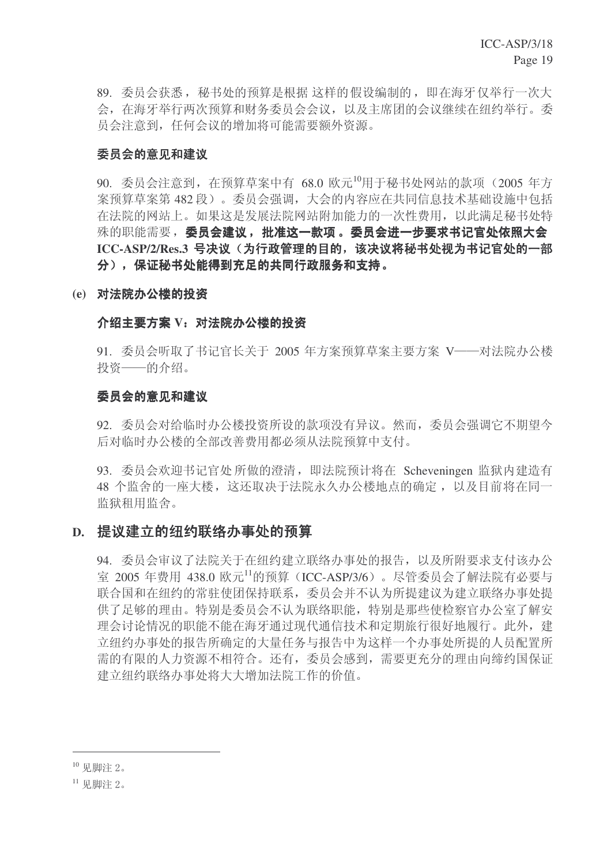89. 委员会获悉, 秘书处的预算是根据 这样的假设编制的, 即在海牙仅举行一次大 会, 在海牙举行两次预算和财务委员会会议, 以及主席团的会议继续在纽约举行。委 员会注意到, 任何会议的增加将可能需要额外资源。

# 委员会的意见和建议

90. 委员会注意到, 在预算草案中有 68.0 欧元<sup>10</sup>用于秘书处网站的款项 (2005 年方 案预算草案第482段)。委员会强调,大会的内容应在共同信息技术基础设施中包括 在法院的网站上。如果这是发展法院网站附加能力的一次性费用,以此满足秘书处特 殊的职能需要,委员会建议,批准这一款项。委员会进一步要求书记官处依照大会 ICC-ASP/2/Res.3 号决议(为行政管理的目的,该决议将秘书处视为书记官处的一部 分),保证秘书处能得到充足的共同行政服务和支持。

### (e) 对法院办公楼的投资

### 介绍主要方案 V: 对法院办公楼的投资

91. 委员会听取了书记官长关于 2005 年方案预算草案主要方案 V——对法院办公楼 投资——的介绍。

### 委员会的意见和建议

92. 委员会对给临时办公楼投资所设的款项没有异议。然而, 委员会强调它不期望今 后对临时办公楼的全部改善费用都必须从法院预算中支付。

93. 委员会欢迎书记官处所做的澄清, 即法院预计将在 Scheveningen 监狱内建造有 48 个监舍的一座大楼, 这还取决于法院永久办公楼地点的确定, 以及目前将在同一 监狱租用监舍。

# D. 提议建立的纽约联络办事处的预算

94. 委员会审议了法院关于在纽约建立联络办事处的报告, 以及所附要求支付该办公 室 2005 年费用 438.0 欧元11的预算 (ICC-ASP/3/6)。尽管委员会了解法院有必要与 联合国和在纽约的常驻使团保持联系,委员会并不认为所提建议为建立联络办事处提 供了足够的理由。特别是委员会不认为联络职能,特别是那些使检察官办公室了解安 理会讨论情况的职能不能在海牙通过现代通信技术和定期旅行很好地履行。此外, 建 立纽约办事处的报告所确定的大量任务与报告中为这样一个办事处所提的人员配置所 需的有限的人力资源不相符合。还有,委员会感到,需要更充分的理由向缔约国保证 建立纽约联络办事处将大大增加法院工作的价值。

 $10$  见脚注  $2$ 。

 $11$  见脚注 2.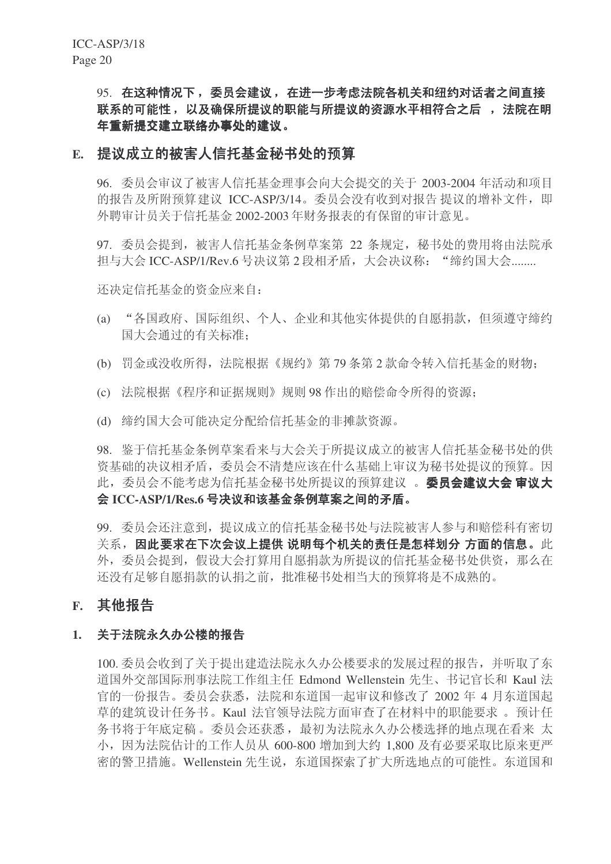# 95. 在这种情况下,委员会建议,在进一步考虑法院各机关和纽约对话者之间直接 联系的可能性, 以及确保所提议的职能与所提议的资源水平相符合之后, 法院在明 年重新提交建立联络办事处的建议。

# E. 提议成立的被害人信托基金秘书处的预算

96. 委员会审议了被害人信托基金理事会向大会提交的关于 2003-2004 年活动和项目 的报告及所附预算建议 ICC-ASP/3/14。委员会没有收到对报告 提议的增补文件, 即 外聘审计员关于信托基金 2002-2003 年财务报表的有保留的审计意见。

97. 委员会提到, 被害人信托基金条例草案第 22 条规定, 秘书处的费用将由法院承 担与大会 ICC-ASP/1/Rev.6 号决议第 2 段相矛盾, 大会决议称: "缔约国大会........

还决定信托基金的资金应来自:

- (a) "各国政府、国际组织、个人、企业和其他实体提供的自愿捐款, 但须遵守缔约 国大会通过的有关标准:
- (b) 罚金或没收所得, 法院根据《规约》第79条第2款命令转入信托基金的财物:
- (c) 法院根据《程序和证据规则》规则 98 作出的赔偿命令所得的资源;
- (d) 缔约国大会可能决定分配给信托基金的非摊款资源。

98. 鉴于信托基金条例草案看来与大会关于所提议成立的被害人信托基金秘书处的供 资基础的决议相矛盾,委员会不清楚应该在什么基础上审议为秘书处提议的预算。因 此, 委员会不能考虑为信托基金秘书处所提议的预算建议。 委员会建议大会 审议大 会 ICC-ASP/1/Res.6 号决议和该基金条例草案之间的矛盾。

99. 委员会还注意到, 提议成立的信托基金秘书处与法院被害人参与和赔偿科有密切 关系,因此要求在下次会议上提供 说明每个机关的责任是怎样划分 方面的信息。此 外,委员会提到,假设大会打算用自愿捐款为所提议的信托基金秘书处供资,那么在 还没有足够自愿捐款的认捐之前, 批准秘书处相当大的预算将是不成熟的。

# **F.** 其他报告

# 1. 关于法院永久办公楼的报告

100. 委员会收到了关于提出建造法院永久办公楼要求的发展过程的报告,并听取了东 道国外交部国际刑事法院工作组主任 Edmond Wellenstein 先生、书记官长和 Kaul 法 官的一份报告。委员会获悉, 法院和东道国一起审议和修改了 2002 年 4 月东道国起 草的建筑设计任务书。Kaul 法官领导法院方面审查了在材料中的职能要求。预计任 务书将于年底定稿。委员会还获悉, 最初为法院永久办公楼选择的地点现在看来太 小,因为法院估计的工作人员从 600-800 增加到大约 1,800 及有必要采取比原来更严 密的警卫措施。Wellenstein 先生说, 东道国探索了扩大所选地点的可能性。东道国和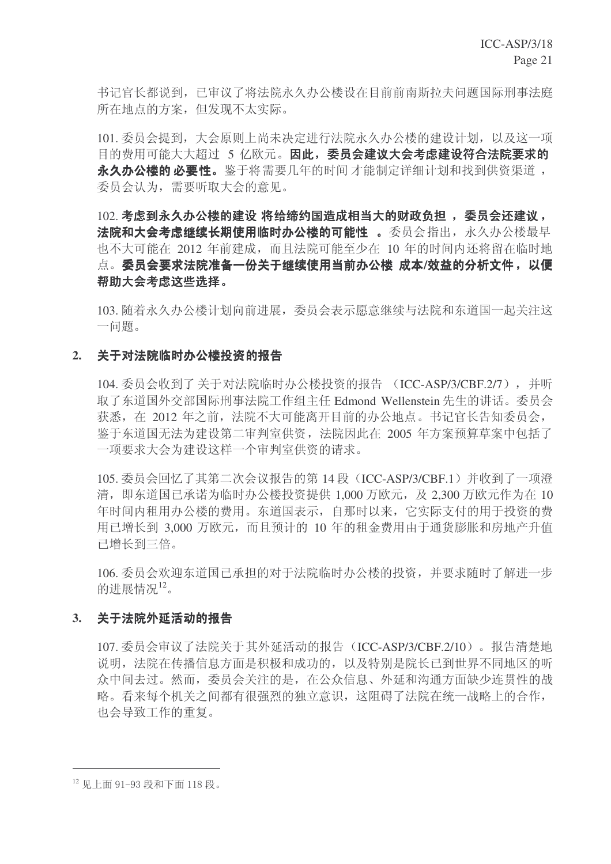书记官长都说到,已审议了将法院永久办公楼设在目前前南斯拉夫问题国际刑事法庭 所在地点的方案, 但发现不太实际。

101. 委员会提到, 大会原则上尚未决定进行法院永久办公楼的建设计划, 以及这一项 目的费用可能大大超过 5 亿欧元。因此, 委员会建议大会考虑建设符合法院要求的 永久办公楼的 必要性。鉴于将需要几年的时间 才能制定详细计划和找到供资渠道, 委员会认为,需要听取大会的意见。

102. 考虑到永久办公楼的建设 将给缔约国造成相当大的财政负担, 委员会还建议, 法院和大会考虑继续长期使用临时办公楼的可能性 。委员会指出, 永久办公楼最早 也不大可能在 2012 年前建成, 而且法院可能至少在 10 年的时间内还将留在临时地 点。委员会要求法院准备一份关于继续使用当前办公楼 成本/效益的分析文件, 以便 帮助大会考虑这些选择。

103. 随着永久办公楼计划向前讲展, 委员会表示愿意继续与法院和东道国一起关注这 一问题。

### 2. 关于对法院临时办公楼投资的报告

104. 委员会收到了关于对法院临时办公楼投资的报告 (ICC-ASP/3/CBF.2/7), 并听 取了东道国外交部国际刑事法院工作组主任 Edmond Wellenstein 先生的讲话。委员会 获悉, 在 2012 年之前, 法院不大可能离开目前的办公地点。书记官长告知委员会, 鉴于东道国无法为建设第二审判室供资, 法院因此在 2005 年方案预算草案中包括了 一项要求大会为建设这样一个审判室供资的请求。

105. 委员会回忆了其第二次会议报告的第 14 段 (ICC-ASP/3/CBF.1) 并收到了一项澄 清, 即东道国已承诺为临时办公楼投资提供 1,000 万欧元, 及 2,300 万欧元作为在 10 年时间内和用办公楼的费用。东道国表示, 自那时以来, 它实际支付的用于投资的费 用已增长到 3,000 万欧元, 而且预计的 10 年的租金费用由于通货膨胀和房地产升值 已增长到三倍。

106. 委员会欢迎东渞国已承担的对于法院临时办公楼的投资, 并要求随时了解进一步 的进展情况12。

### 3. 关于法院外延活动的报告

107. 委员会审议了法院关于其外延活动的报告 (ICC-ASP/3/CBF.2/10)。报告清楚地 说明, 法院在传播信息方面是积极和成功的, 以及特别是院长已到世界不同地区的听 众中间夫讨。然而,委员会关注的是, 在公众信息、外延和沟通方面缺少连贯性的战 略。看来每个机关之间都有很强烈的独立意识,这阳碍了法院在统一战略上的合作, 也会导致工作的重复。

<sup>12</sup> 见上面 91-93 段和下面 118 段。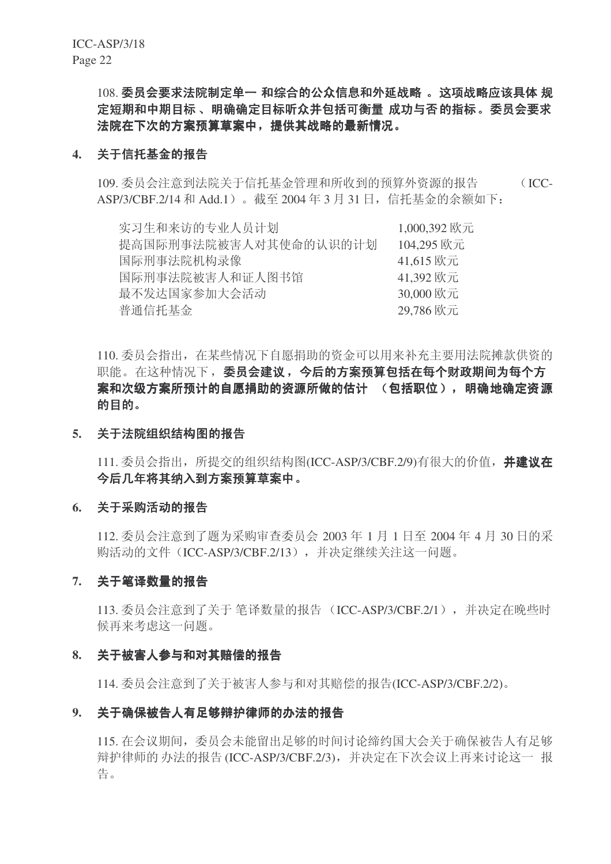108. 委员会要求法院制定单一 和综合的公众信息和外延战略 。这项战略应该具体 规 定短期和中期目标、 明确确定目标听众并包括可衡量 成功与否的指标。委员会要求 法院在下次的方案预算草案中,提供其战略的最新情况。

### 4. 关于信托基金的报告

109. 委员会注意到法院关于信托基金管理和所收到的预算外资源的报告 (ICC-ASP/3/CBF.2/14 和 Add.1)。截至 2004 年 3 月 31 日, 信托基金的余额如下:

| 实习生和来访的专业人员计划         | 1,000,392 欧元 |
|-----------------------|--------------|
| 提高国际刑事法院被害人对其使命的认识的计划 | 104,295 欧元   |
| 国际刑事法院机构录像            | 41,615 欧元    |
| 国际刑事法院被害人和证人图书馆       | 41,392 欧元    |
| 最不发达国家参加大会活动          | 30,000 欧元    |
| 普通信托基金                | 29,786 欧元    |

110. 委员会指出, 在某些情况下自愿捐助的资金可以用来补充主要用法院摊款供资的 职能。在这种情况下, 委员会建议, 今后的方案预算包括在每个财政期间为每个方 案和次级方案所预计的自愿捐助的资源所做的估计 (包括职位), 明确地确定资源 的目的。

### 5. 关于法院组织结构图的报告

111. 委员会指出, 所提交的组织结构图(ICC-ASP/3/CBF.2/9)有很大的价值, 并建议在 今后几年将其纳入到方案预算草案中。

### 6. 关于采购活动的报告

 $112.$  委员会注意到了题为采购审查委员会 2003 年 1 月 1 日至 2004 年 4 月 30 日的采 购活动的文件(ICC-ASP/3/CBF.2/13), 并决定继续关注这一问题。

### 7. 关于笔译数量的报告

113. 委员会注意到了关于 笔译数量的报告 (ICC-ASP/3/CBF.2/1), 并决定在晚些时 候再来考虑这一问题。

### 8. 关于被害人参与和对其赔偿的报告

114. 委员会注意到了关于被害人参与和对其赔偿的报告(ICC-ASP/3/CBF.2/2)。

# 9. 关于确保被告人有足够辩护律师的办法的报告

115. 在会议期间, 委员会未能留出足够的时间讨论缔约国大会关于确保被告人有足够 辩护律师的办法的报告(ICC-ASP/3/CBF.2/3), 并决定在下次会议上再来讨论这一报 告。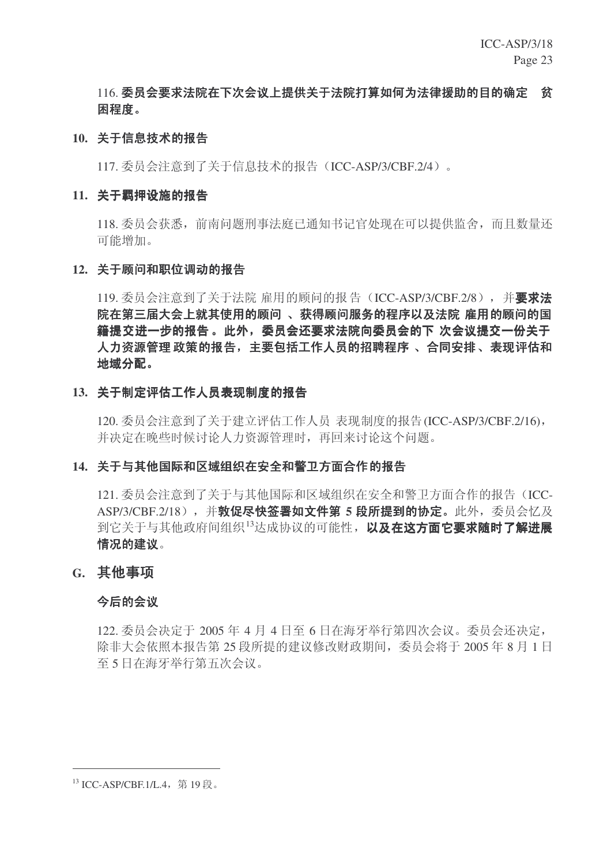# 116. 委员会要求法院在下次会议上提供关于法院打算如何为法律援助的目的确定 贫 闲程度。

# 10. 关于信息技术的报告

117. 委员会注意到了关于信息技术的报告 (ICC-ASP/3/CBF.2/4)。

# 11. 关于羁押设施的报告

118. 委员会获悉, 前南问题刑事法庭已通知书记官处现在可以提供监舍, 而且数量还 可能增加。

# 12. 关于顾问和职位调动的报告

119. 委员会注意到了关于法院 雇用的顾问的报告 (ICC-ASP/3/CBF.2/8), 并要求法 院在第三届大会上就其使用的顾问 、获得顾问服务的程序以及法院 雇用的顾问的国 籍提交进一步的报告。此外,委员会还要求法院向委员会的下 次会议提交一份关于 人力资源管理 政策的报告,主要包括工作人员的招聘程序 、合同安排、表现评估和 地域分配。

# 13. 关于制定评估工作人员表现制度的报告

120. 委员会注意到了关于建立评估工作人员 表现制度的报告(ICC-ASP/3/CBF.2/16), 并决定在晚些时候讨论人力资源管理时,再回来讨论这个问题。

# 14. 关于与其他国际和区域组织在安全和警卫方面合作的报告

121. 委员会注意到了关于与其他国际和区域组织在安全和警卫方面合作的报告(ICC-ASP/3/CBF.2/18), 并**敦促尽快签署如文件第5 段所提到的协定。**此外, 委员会忆及 到它关于与其他政府间组织<sup>13</sup>达成协议的可能性, 以及在这方面它要求随时了解进展 情况的建议。

# **G.** 其他事项

# 今后的会议

122. 委员会决定于 2005 年 4 月 4 日至 6 日在海牙举行第四次会议。委员会还决定, 除非大会依照本报告第 25 段所提的建议修改财政期间, 委员会将于 2005 年 8 月 1 日 至 5 日在海牙举行第五次会议。

 $^{13}$  ICC-ASP/CBF.1/L.4,第19段。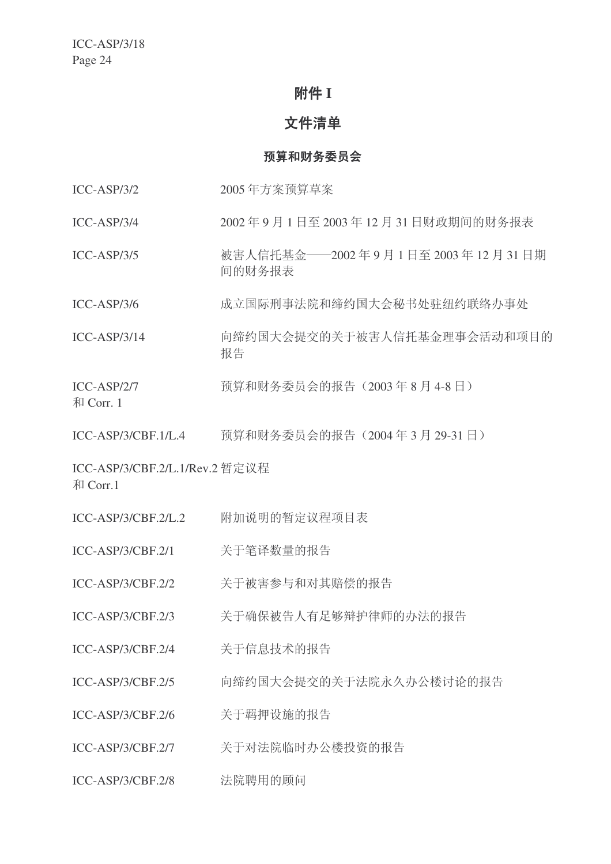# 附件 I

# 文件清单

# 预算和财务委员会

- ICC-ASP/3/2 2005 年方案预算草案
- ICC-ASP/3/4 2002年9月1日至 2003年12月31日财政期间的财务报表
- ICC-ASP/3/5 㹿ᆇҎֵᠬ䞥üü2002 ᑈ 9 ᳜ 1 ᮹㟇 2003 ᑈ 12 ᳜ 31 ᮹ᳳ 间的财务报表
- ICC-ASP/3/6 成立国际刑事法院和缔约国大会秘书处驻纽约联络办事处
- ICC-ASP/3/14 向缔约国大会提交的关于被害人信托基金理事会活动和项目的 报告
- ICC-ASP/2/7 预算和财务委员会的报告 (2003年8月4-8日)

和 Corr. 1

ICC-ASP/3/CBF.1/L.4 预算和财务委员会的报告 (2004年3月29-31日)

ICC-ASP/3/CBF.2/L.1/Rev.2 暂定议程 和 Corr.1

- ICC-ASP/3/CBF.2/L.2 附加说明的暂定议程项目表
- ICC-ASP/3/CBF.2/1 关于笔译数量的报告
- ICC-ASP/3/CBF.2/2 关于被害参与和对其赔偿的报告
- ICC-ASP/3/CBF.2/3 关于确保被告人有足够辩护律师的办法的报告
- ICC-ASP/3/CBF.2/4 关于信息技术的报告
- ICC-ASP/3/CBF.2/5 向缔约国大会提交的关于法院永久办公楼讨论的报告
- ICC-ASP/3/CBF.2/6 关于羁押设施的报告
- ICC-ASP/3/CBF.2/7 美干对法院临时办公楼投资的报告
- ICC-ASP/3/CBF.2/8 法院聘用的顾问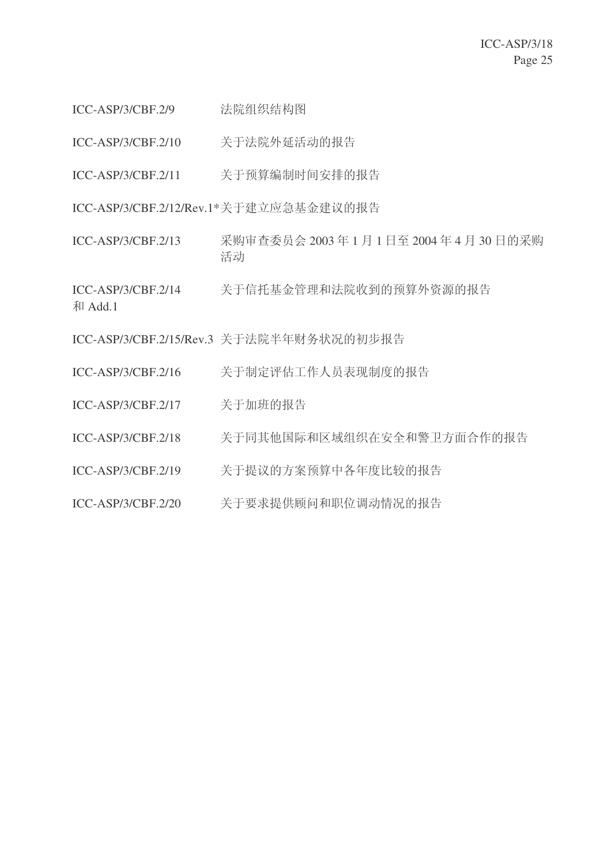- ICC-ASP/3/CBF.2/9 法院组织结构图
- ICC-ASP/3/CBF.2/10 关于法院外延活动的报告
- ICC-ASP/3/CBF.2/11 关于预算编制时间安排的报告

ICC-ASP/3/CBF.2/12/Rev.1\*关于建立应急基金建议的报告

ICC-ASP/3/CBF.2/13 采购审查委员会 2003 年 1 月 1 日至 2004 年 4 月 30 日的采购 活动

ICC-ASP/3/CBF.2/14 关于信托基金管理和法院收到的预算外资源的报告 和 Add.1

ICC-ASP/3/CBF.2/15/Rev.3 关于法院半年财务状况的初步报告

- ICC-ASP/3/CBF.2/16 关于制定评估工作人员表现制度的报告
- ICC-ASP/3/CBF.2/17 关于加班的报告
- ICC-ASP/3/CBF.2/18 关于同其他国际和区域组织在安全和警卫方面合作的报告
- ICC-ASP/3/CBF.2/19 关于提议的方案预算中各年度比较的报告
- ICC-ASP/3/CBF.2/20 关于要求提供顾问和职位调动情况的报告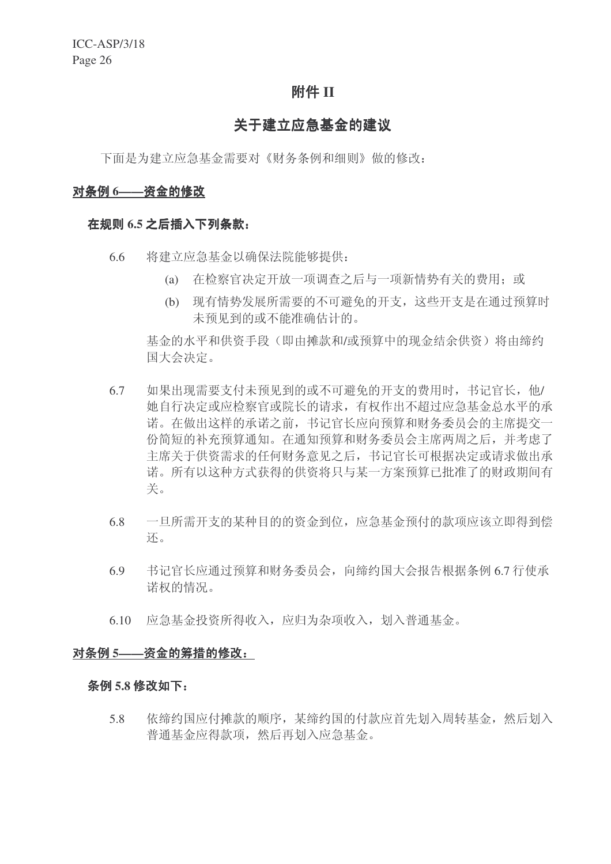# 附件 **II**

# 关于建立应急基金的建议

下面是为建立应急基金需要对《财务条例和细则》做的修改:

### 对条例 6——资金的修改

# 在规则 6.5 之后插入下列条款:

- 6.6 将建立应急基金以确保法院能够提供:
	- (a) 在检察官决定开放一项调查之后与一项新情势有关的费用: 或
	- (b) 现有情势发展所需要的不可避免的开支, 这些开支是在通过预算时 未预见到的或不能准确估计的。

基金的水平和供资手段(即由摊款和/或预算中的现金结余供资)将由缔约 国大会决定。

- 6.7 如果出现需要支付未预见到的或不可避免的开支的费用时, 书记官长, 他/ 她自行决定或应检察官或院长的请求,有权作出不超过应急基金总水平的承 诺。在做出这样的承诺之前, 书记官长应向预算和财务委员会的主席提交一 份简短的补充预算通知。在通知预算和财务委员会主席两周之后,并考虑了 主席关于供资需求的任何财务意见之后, 书记官长可根据决定或请求做出承 诺。所有以这种方式获得的供资将只与某一方案预算已批准了的财政期间有 关。
- 6.8 一旦所需开支的某种目的的资金到位, 应急基金预付的款项应该立即得到偿 还。
- $6.9$  书记官长应通过预算和财务委员会, 向缔约国大会报告根据条例 6.7 行使承 诺权的情况。
- 6.10 应急基金投资所得收入, 应归为杂项收入, 划入普通基金。

# 对条例 5---资金的筹措的修改:

#### <u>条例 5.8 修改如下:</u>

5.8 依缔约国应付摊款的顺序, 某缔约国的付款应首先划入周转基金, 然后划入 普通基金应得款项, 然后再划入应急基金。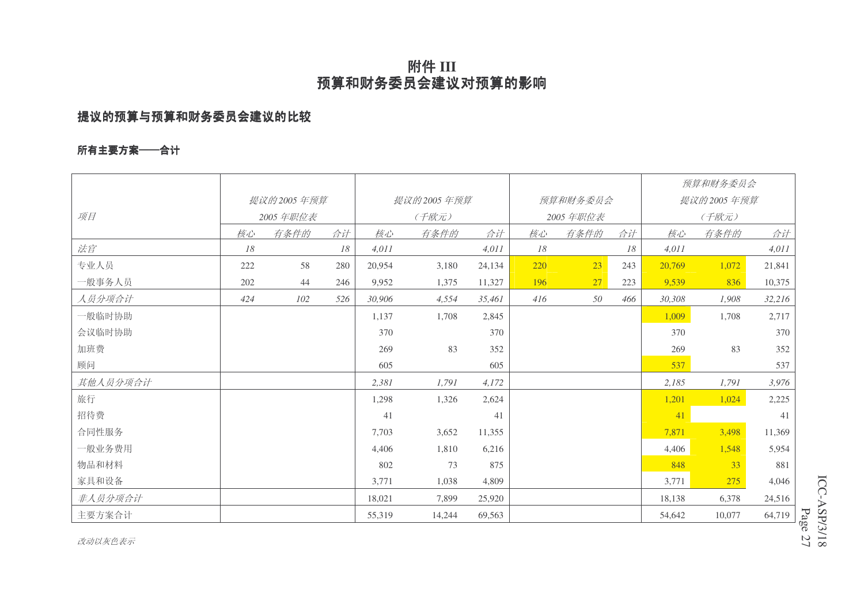# 附件 III 预算和财务委员会建议对预算的影响

# 提议的预算与预算和财务委员会建议的比较

# 所有主要方案——合计

|          |     |            |     |        |              |        |          |      |            |        | 预算和财务委员会 |        |
|----------|-----|------------|-----|--------|--------------|--------|----------|------|------------|--------|----------|--------|
|          |     | 提议的2005年预算 |     |        | 提议的 2005 年预算 |        | 预算和财务委员会 |      | 提议的2005年预算 |        |          |        |
| 项目       |     | 2005年职位表   |     |        | (千欧元)        |        | 2005年职位表 |      | (千欧元)      |        |          |        |
|          | 核心  | 有条件的       | 合计  | 核心     | 有条件的         | 合计     | 核心       | 有条件的 | 合计         | 核心     | 有条件的     | 合计     |
| 法官       | 18  |            | 18  | 4,011  |              | 4,011  | 18       |      | 18         | 4,011  |          | 4,011  |
| 专业人员     | 222 | 58         | 280 | 20,954 | 3,180        | 24,134 | 220      | 23   | 243        | 20,769 | 1,072    | 21,841 |
| 一般事务人员   | 202 | 44         | 246 | 9,952  | 1,375        | 11,327 | 196      | 27   | 223        | 9,539  | 836      | 10,375 |
| 人员分项合计   | 424 | 102        | 526 | 30,906 | 4,554        | 35,461 | 416      | 50   | 466        | 30,308 | 1,908    | 32,216 |
| 一般临时协助   |     |            |     | 1,137  | 1,708        | 2,845  |          |      |            | 1,009  | 1,708    | 2,717  |
| 会议临时协助   |     |            |     | 370    |              | 370    |          |      |            | 370    |          | 370    |
| 加班费      |     |            |     | 269    | 83           | 352    |          |      |            | 269    | 83       | 352    |
| 顾问       |     |            |     | 605    |              | 605    |          |      |            | 537    |          | 537    |
| 其他人员分项合计 |     |            |     | 2,381  | 1,791        | 4,172  |          |      |            | 2,185  | 1,791    | 3,976  |
| 旅行       |     |            |     | 1,298  | 1,326        | 2,624  |          |      |            | 1,201  | 1,024    | 2,225  |
| 招待费      |     |            |     | 41     |              | 41     |          |      |            | 41     |          | 41     |
| 合同性服务    |     |            |     | 7,703  | 3,652        | 11,355 |          |      |            | 7,871  | 3,498    | 11,369 |
| 一般业务费用   |     |            |     | 4,406  | 1,810        | 6,216  |          |      |            | 4,406  | 1,548    | 5,954  |
| 物品和材料    |     |            |     | 802    | 73           | 875    |          |      |            | 848    | 33       | 881    |
| 家具和设备    |     |            |     | 3,771  | 1,038        | 4,809  |          |      |            | 3,771  | 275      | 4,046  |
| 非人员分项合计  |     |            |     | 18,021 | 7,899        | 25,920 |          |      |            | 18,138 | 6,378    | 24,516 |
| 主要方案合计   |     |            |     | 55,319 | 14,244       | 69,563 |          |      |            | 54,642 | 10,077   | 64,719 |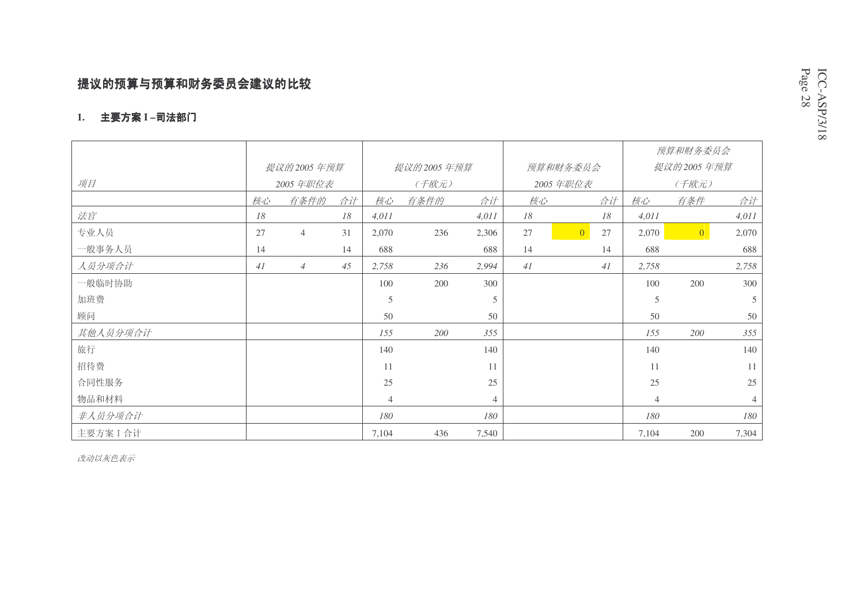# 提议的预算与预算和财务委员会建议的比较

### 1. 主要方案 I −司法部门

|           |            |                |    |                |      |                |    |                      |                | 预算和财务委员会       |                |  |
|-----------|------------|----------------|----|----------------|------|----------------|----|----------------------|----------------|----------------|----------------|--|
|           | 提议的2005年预算 |                |    | 提议的2005年预算     |      |                |    | 预算和财务委员会             |                | 提议的2005年预算     |                |  |
| 项目        |            | 2005 年职位表      |    | (千欧元)          |      |                |    | 2005年职位表             |                | (千欧元)          |                |  |
|           | 核心         | 有条件的           | 合计 | 核心             | 有条件的 | 合计             | 核心 | 合计                   | 核心             | 有条件            | 合计             |  |
| 法官        | 18         |                | 18 | 4,011          |      | 4,011          | 18 | 18                   | 4,011          |                | 4,011          |  |
| 专业人员      | 27         | $\overline{4}$ | 31 | 2,070          | 236  | 2,306          | 27 | $\overline{0}$<br>27 | 2,070          | $\overline{0}$ | 2,070          |  |
| 一般事务人员    | 14         |                | 14 | 688            |      | 688            | 14 | 14                   | 688            |                | 688            |  |
| 人员分项合计    | 41         | $\overline{4}$ | 45 | 2,758          | 236  | 2,994          | 41 | 41                   | 2,758          |                | 2,758          |  |
| 一般临时协助    |            |                |    | 100            | 200  | 300            |    |                      | 100            | 200            | 300            |  |
| 加班费       |            |                |    | $\mathfrak s$  |      | 5              |    |                      | $\mathfrak{S}$ |                | $\overline{5}$ |  |
| 顾问        |            |                |    | 50             |      | 50             |    |                      | 50             |                | 50             |  |
| 其他人员分项合计  |            |                |    | 155            | 200  | 355            |    |                      | 155            | 200            | 355            |  |
| 旅行        |            |                |    | 140            |      | 140            |    |                      | 140            |                | 140            |  |
| 招待费       |            |                |    | 11             |      | 11             |    |                      | 11             |                | 11             |  |
| 合同性服务     |            |                |    | 25             |      | 25             |    |                      | 25             |                | $25\,$         |  |
| 物品和材料     |            |                |    | $\overline{4}$ |      | $\overline{4}$ |    |                      | $\overline{4}$ |                | $\overline{4}$ |  |
| 非人员分项合计   |            |                |    | 180            |      | 180            |    |                      | 180            |                | 180            |  |
| 主要方案 I 合计 |            |                |    | 7,104          | 436  | 7,540          |    |                      | 7,104          | 200            | 7,304          |  |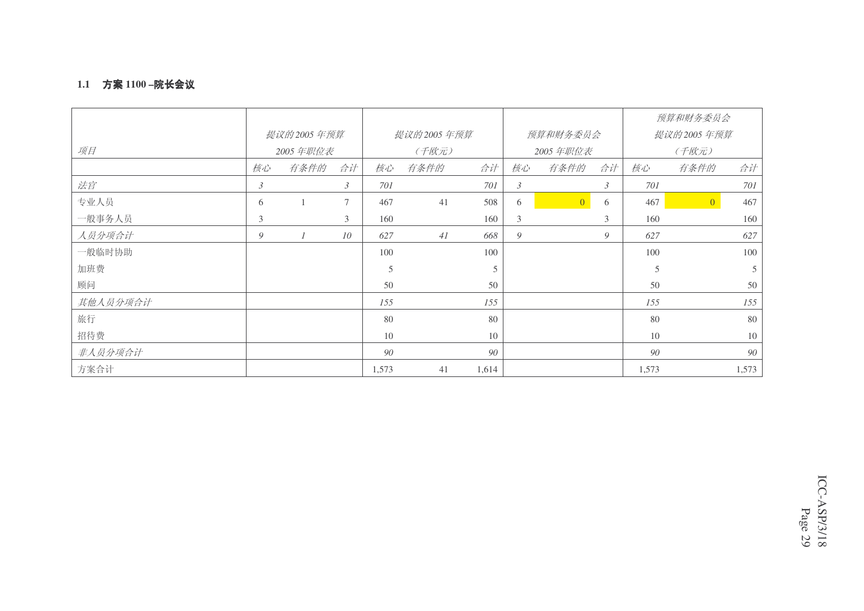### **1.1 方案 1100 –院长会议**

|          |                |              |        |       |              |       |                |                |                |       | 预算和财务委员会       |       |  |
|----------|----------------|--------------|--------|-------|--------------|-------|----------------|----------------|----------------|-------|----------------|-------|--|
|          |                | 提议的 2005 年预算 |        |       | 提议的 2005 年预算 |       |                | 预算和财务委员会       |                |       | 提议的2005年预算     |       |  |
| 项目       |                | 2005年职位表     |        |       | (千欧元)        |       |                | 2005 年职位表      |                | (千欧元) |                |       |  |
|          | 核心             | 有条件的         | 合计     | 核心    | 有条件的         | 合计    | 核心             | 有条件的           | 合计             | 核心    | 有条件的           | 合计    |  |
| 法官       | $\mathfrak{Z}$ |              | 3      | 701   |              | 701   | $\mathfrak{Z}$ |                | $\mathfrak{Z}$ | 701   |                | 701   |  |
| 专业人员     | 6              |              | $\tau$ | 467   | 41           | 508   | 6              | $\overline{0}$ | 6              | 467   | $\overline{0}$ | 467   |  |
| 一般事务人员   | 3              |              | 3      | 160   |              | 160   | 3              |                | 3              | 160   |                | 160   |  |
| 人员分项合计   | 9              |              | 10     | 627   | 41           | 668   | 9              |                | 9              | 627   |                | 627   |  |
| 一般临时协助   |                |              |        | 100   |              | 100   |                |                |                | 100   |                | 100   |  |
| 加班费      |                |              |        | 5     |              | 5     |                |                |                | 5     |                | 5     |  |
| 顾问       |                |              |        | 50    |              | 50    |                |                |                | 50    |                | 50    |  |
| 其他人员分项合计 |                |              |        | 155   |              | 155   |                |                |                | 155   |                | 155   |  |
| 旅行       |                |              |        | 80    |              | 80    |                |                |                | 80    |                | 80    |  |
| 招待费      |                |              |        | 10    |              | 10    |                |                |                | 10    |                | 10    |  |
| 非人员分项合计  |                |              |        | 90    |              | 90    |                |                |                | 90    |                | 90    |  |
| 方案合计     |                |              |        | 1,573 | 41           | 1,614 |                |                |                | 1,573 |                | 1,573 |  |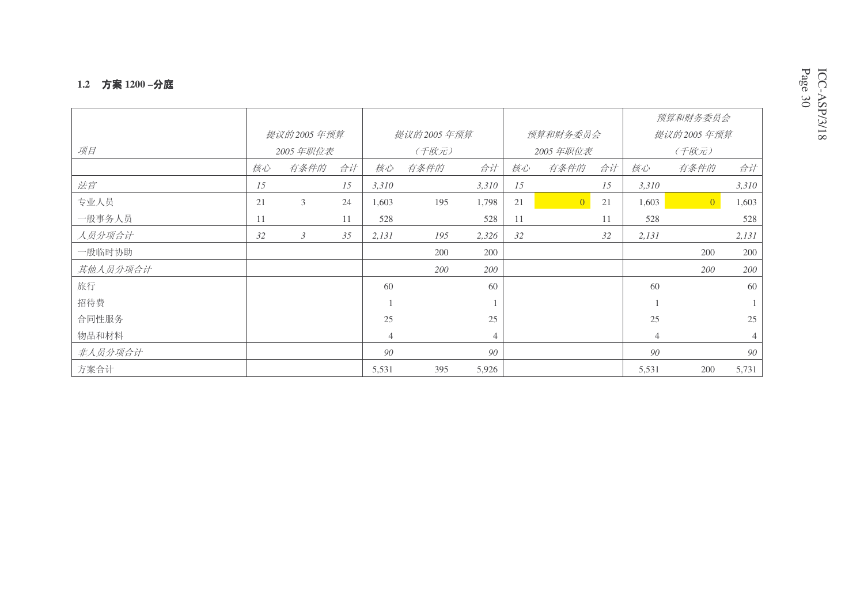#### **1.2** ᮍḜ **1200 –**ߚᒁ

|          |    |              |    |                |            |                |    |                |    |       | 预算和财务委员会       |       |  |
|----------|----|--------------|----|----------------|------------|----------------|----|----------------|----|-------|----------------|-------|--|
|          |    | 提议的 2005 年预算 |    |                | 提议的2005年预算 |                |    | 预算和财务委员会       |    |       | 提议的2005年预算     |       |  |
| 项目       |    | 2005 年职位表    |    |                | (千欧元)      |                |    | 2005年职位表       |    | (千欧元) |                |       |  |
|          | 核心 | 有条件的         | 合计 | 核心             | 有条件的       | 合计             | 核心 | 有条件的           | 合计 | 核心    | 有条件的           | 合计    |  |
| 法官       | 15 |              | 15 | 3,310          |            | 3,310          | 15 |                | 15 | 3,310 |                | 3,310 |  |
| 专业人员     | 21 | 3            | 24 | 1,603          | 195        | 1,798          | 21 | $\overline{0}$ | 21 | 1,603 | $\overline{0}$ | 1,603 |  |
| 一般事务人员   | 11 |              | 11 | 528            |            | 528            | 11 |                | 11 | 528   |                | 528   |  |
| 人员分项合计   | 32 | 3            | 35 | 2,131          | 195        | 2,326          | 32 |                | 32 | 2,131 |                | 2,131 |  |
| 一般临时协助   |    |              |    |                | 200        | 200            |    |                |    |       | 200            | 200   |  |
| 其他人员分项合计 |    |              |    |                | 200        | 200            |    |                |    |       | 200            | 200   |  |
| 旅行       |    |              |    | 60             |            | 60             |    |                |    | 60    |                | 60    |  |
| 招待费      |    |              |    |                |            |                |    |                |    |       |                |       |  |
| 合同性服务    |    |              |    | 25             |            | 25             |    |                |    | 25    |                | 25    |  |
| 物品和材料    |    |              |    | $\overline{4}$ |            | $\overline{4}$ |    |                |    | 4     |                | 4     |  |
| 非人员分项合计  |    |              |    | 90             |            | 90             |    |                |    | 90    |                | 90    |  |
| 方案合计     |    |              |    | 5,531          | 395        | 5,926          |    |                |    | 5,531 | 200            | 5,731 |  |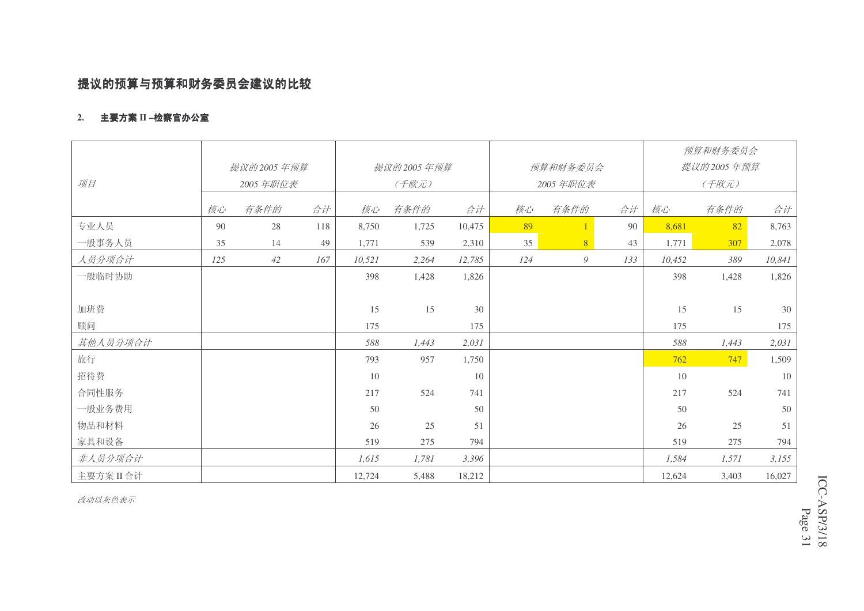# 提议的预算与预算和财务委员会建议的比较

#### 2. 主要方案 II –检察官办公室

|          |     |            |     |        |            |        |     |           |     |            | 预算和财务委员会 |        |  |
|----------|-----|------------|-----|--------|------------|--------|-----|-----------|-----|------------|----------|--------|--|
|          |     | 提议的2005年预算 |     |        | 提议的2005年预算 |        |     | 预算和财务委员会  |     | 提议的2005年预算 |          |        |  |
| 项目       |     | 2005年职位表   |     |        | (千欧元)      |        |     | 2005 年职位表 |     | (千欧元)      |          |        |  |
|          | 核心  | 有条件的       | 合计  | 核心     | 有条件的       | 合计     | 核心  | 有条件的      | 合计  | 核心         | 有条件的     | 合计     |  |
| 专业人员     | 90  | 28         | 118 | 8,750  | 1,725      | 10,475 | 89  |           | 90  | 8,681      | 82       | 8,763  |  |
| 一般事务人员   | 35  | 14         | 49  | 1,771  | 539        | 2,310  | 35  | 8         | 43  | 1,771      | 307      | 2,078  |  |
| 人员分项合计   | 125 | 42         | 167 | 10,521 | 2,264      | 12,785 | 124 | 9         | 133 | 10,452     | 389      | 10,841 |  |
| 一般临时协助   |     |            |     | 398    | 1,428      | 1,826  |     |           |     | 398        | 1,428    | 1,826  |  |
|          |     |            |     |        |            |        |     |           |     |            |          |        |  |
| 加班费      |     |            |     | 15     | 15         | 30     |     |           |     | 15         | 15       | 30     |  |
| 顾问       |     |            |     | 175    |            | 175    |     |           |     | 175        |          | 175    |  |
| 其他人员分项合计 |     |            |     | 588    | 1,443      | 2,031  |     |           |     | 588        | 1,443    | 2,031  |  |
| 旅行       |     |            |     | 793    | 957        | 1,750  |     |           |     | 762        | 747      | 1,509  |  |
| 招待费      |     |            |     | 10     |            | 10     |     |           |     | 10         |          | 10     |  |
| 合同性服务    |     |            |     | 217    | 524        | 741    |     |           |     | 217        | 524      | 741    |  |
| 一般业务费用   |     |            |     | 50     |            | 50     |     |           |     | 50         |          | 50     |  |
| 物品和材料    |     |            |     | 26     | 25         | 51     |     |           |     | 26         | 25       | 51     |  |
| 家具和设备    |     |            |     | 519    | 275        | 794    |     |           |     | 519        | 275      | 794    |  |
| 非人员分项合计  |     |            |     | 1,615  | 1,781      | 3,396  |     |           |     | 1,584      | 1,571    | 3,155  |  |
| 主要方案II合计 |     |            |     | 12,724 | 5,488      | 18,212 |     |           |     | 12,624     | 3,403    | 16,027 |  |

改动以灰色表示

ICC-ASP/3/18 Page  $\overline{1}$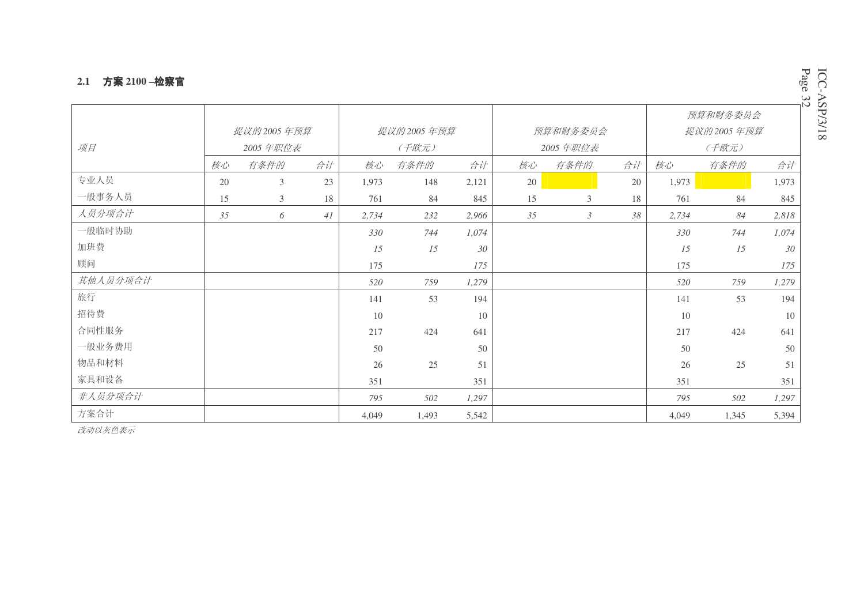#### **2.1 方案 2100 −检察官**

|          |    |                |    |       |            |       |    |                |    |       | 预算和财务委员会   |       |  |
|----------|----|----------------|----|-------|------------|-------|----|----------------|----|-------|------------|-------|--|
|          |    | 提议的2005年预算     |    |       | 提议的2005年预算 |       |    | 预算和财务委员会       |    |       | 提议的2005年预算 |       |  |
| 项目       |    | 2005 年职位表      |    | (千欧元) |            |       |    | 2005 年职位表      |    | (千欧元) |            |       |  |
|          | 核心 | 有条件的           | 合计 | 核心    | 有条件的       | 合计    | 核心 | 有条件的           | 合计 | 核心    | 有条件的       | 合计    |  |
| 专业人员     | 20 | 3              | 23 | 1,973 | 148        | 2,121 | 20 |                | 20 | 1,973 |            | 1,973 |  |
| 一般事务人员   | 15 | $\mathfrak{Z}$ | 18 | 761   | 84         | 845   | 15 | 3              | 18 | 761   | 84         | 845   |  |
| 人员分项合计   | 35 | 6              | 41 | 2,734 | 232        | 2,966 | 35 | $\mathfrak{Z}$ | 38 | 2,734 | 84         | 2,818 |  |
| 一般临时协助   |    |                |    | 330   | 744        | 1,074 |    |                |    | 330   | 744        | 1,074 |  |
| 加班费      |    |                |    | 15    | 15         | 30    |    |                |    | 15    | 15         | 30    |  |
| 顾问       |    |                |    | 175   |            | 175   |    |                |    | 175   |            | 175   |  |
| 其他人员分项合计 |    |                |    | 520   | 759        | 1,279 |    |                |    | 520   | 759        | 1,279 |  |
| 旅行       |    |                |    | 141   | 53         | 194   |    |                |    | 141   | 53         | 194   |  |
| 招待费      |    |                |    | 10    |            | 10    |    |                |    | 10    |            | 10    |  |
| 合同性服务    |    |                |    | 217   | 424        | 641   |    |                |    | 217   | 424        | 641   |  |
| 一般业务费用   |    |                |    | 50    |            | 50    |    |                |    | 50    |            | 50    |  |
| 物品和材料    |    |                |    | 26    | 25         | 51    |    |                |    | 26    | 25         | 51    |  |
| 家具和设备    |    |                |    | 351   |            | 351   |    |                |    | 351   |            | 351   |  |
| 非人员分项合计  |    |                |    | 795   | 502        | 1,297 |    |                |    | 795   | 502        | 1,297 |  |
| 方案合计     |    |                |    | 4,049 | 1,493      | 5,542 |    |                |    | 4,049 | 1,345      | 5,394 |  |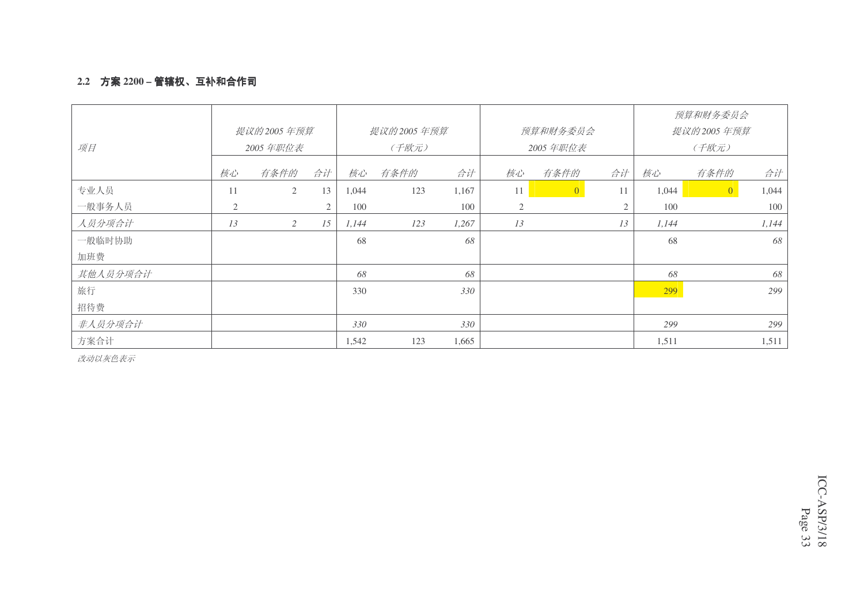### 2.2 **方案** 2200 – 管辖权、互补和合作司

|          |                |            |    |       |            |       |    |                |    |       | 预算和财务委员会       |       |
|----------|----------------|------------|----|-------|------------|-------|----|----------------|----|-------|----------------|-------|
|          |                | 提议的2005年预算 |    |       | 提议的2005年预算 |       |    | 预算和财务委员会       |    |       | 提议的 2005 年预算   |       |
| 项目       |                | 2005年职位表   |    |       | (千欧元)      |       |    | 2005年职位表       |    |       | (千欧元)          |       |
|          | 核心             | 有条件的       | 合计 | 核心    | 有条件的       | 合计    | 核心 | 有条件的           | 合计 | 核心    | 有条件的           | 合计    |
| 专业人员     | 11             | 2          | 13 | 1,044 | 123        | 1,167 | 11 | $\overline{0}$ | 11 | 1,044 | $\overline{0}$ | 1,044 |
| 一般事务人员   | $\overline{2}$ |            | 2  | 100   |            | 100   | 2  |                | 2  | 100   |                | 100   |
| 人员分项合计   | 13             | 2          | 15 | 1,144 | 123        | 1,267 | 13 |                | 13 | 1,144 |                | 1,144 |
| 一般临时协助   |                |            |    | 68    |            | 68    |    |                |    | 68    |                | 68    |
| 加班费      |                |            |    |       |            |       |    |                |    |       |                |       |
| 其他人员分项合计 |                |            |    | 68    |            | 68    |    |                |    | 68    |                | 68    |
| 旅行       |                |            |    | 330   |            | 330   |    |                |    | 299   |                | 299   |
| 招待费      |                |            |    |       |            |       |    |                |    |       |                |       |
| 非人员分项合计  |                |            |    | 330   |            | 330   |    |                |    | 299   |                | 299   |
| 方案合计     |                |            |    | 1,542 | 123        | 1,665 |    |                |    | 1,511 |                | 1,511 |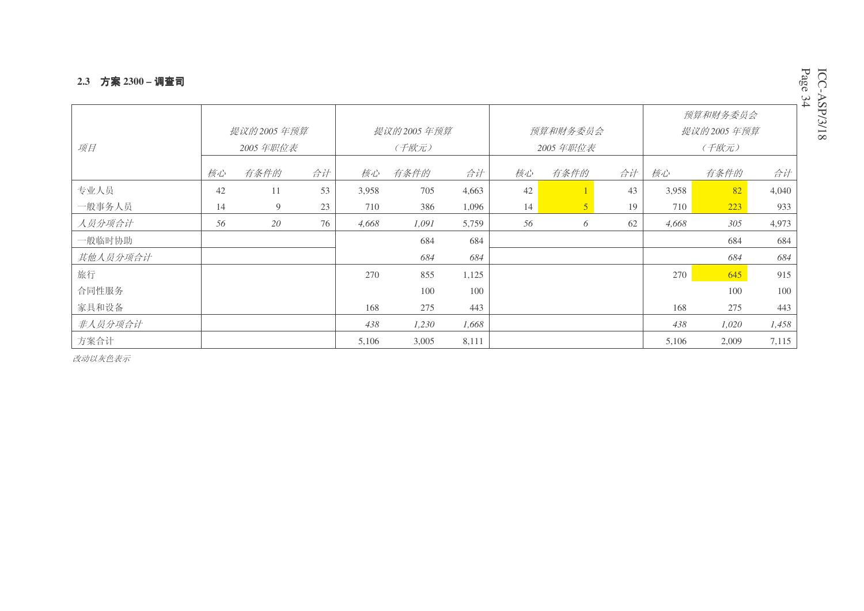#### 2.3 **方案** 2300 – 调查司

| 项目       |    | 提议的2005年预算<br>2005年职位表 |    |       | 提议的 2005 年预算<br>(千欧元) |       |    | 预算和财务委员会<br>2005年职位表 |    |       | 预算和财务委员会<br>提议的2005年预算<br>(千欧元) |       |
|----------|----|------------------------|----|-------|-----------------------|-------|----|----------------------|----|-------|---------------------------------|-------|
|          | 核心 | 有条件的                   | 合计 | 核心    | 有条件的                  | 合计    | 核心 | 有条件的                 | 合计 | 核心    | 有条件的                            | 合计    |
| 专业人员     | 42 | 11                     | 53 | 3,958 | 705                   | 4,663 | 42 |                      | 43 | 3,958 | 82                              | 4,040 |
| 一般事务人员   | 14 | 9                      | 23 | 710   | 386                   | 1,096 | 14 | 5                    | 19 | 710   | 223                             | 933   |
| 人员分项合计   | 56 | 20                     | 76 | 4,668 | 1,091                 | 5,759 | 56 | 6                    | 62 | 4,668 | 305                             | 4,973 |
| 一般临时协助   |    |                        |    |       | 684                   | 684   |    |                      |    |       | 684                             | 684   |
| 其他人员分项合计 |    |                        |    |       | 684                   | 684   |    |                      |    |       | 684                             | 684   |
| 旅行       |    |                        |    | 270   | 855                   | 1,125 |    |                      |    | 270   | 645                             | 915   |
| 合同性服务    |    |                        |    |       | 100                   | 100   |    |                      |    |       | 100                             | 100   |
| 家具和设备    |    |                        |    | 168   | 275                   | 443   |    |                      |    | 168   | 275                             | 443   |
| 非人员分项合计  |    |                        |    | 438   | 1,230                 | 1,668 |    |                      |    | 438   | 1,020                           | 1,458 |
| 方案合计     |    |                        |    | 5,106 | 3,005                 | 8,111 |    |                      |    | 5,106 | 2,009                           | 7,115 |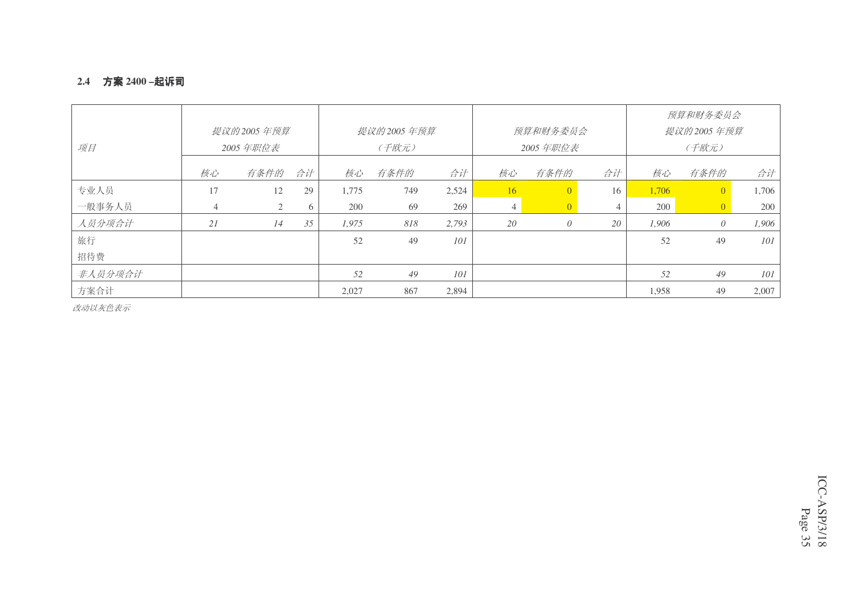#### 2.4 **方案** 2400 –起诉司

|         |    |              |    |       |              |       |               |                          |    |       | 预算和财务委员会   |       |
|---------|----|--------------|----|-------|--------------|-------|---------------|--------------------------|----|-------|------------|-------|
|         |    | 提议的 2005 年预算 |    |       | 提议的 2005 年预算 |       |               | 预算和财务委员会                 |    |       | 提议的2005年预算 |       |
| 项目      |    | 2005 年职位表    |    |       | (千欧元)        |       |               | 2005 年职位表                |    |       | (千欧元)      |       |
|         | 核心 | 有条件的         | 合计 | 核心    | 有条件的         | 合计    | 核心            | 有条件的                     | 合计 | 核心    | 有条件的       | 合计    |
| 专业人员    | 17 | 12           | 29 | 1,775 | 749          | 2,524 | <sup>16</sup> | $\left  0 \right\rangle$ | 16 | 1,706 |            | 1,706 |
| 一般事务人员  | 4  | 2            | 6  | 200   | 69           | 269   | 4             | $\overline{0}$           |    | 200   |            | 200   |
| 人员分项合计  | 21 | 14           | 35 | 1,975 | 818          | 2,793 | 20            | $\theta$                 | 20 | 1.906 | $\theta$   | 1,906 |
| 旅行      |    |              |    | 52    | 49           | 101   |               |                          |    | 52    | 49         | 101   |
| 招待费     |    |              |    |       |              |       |               |                          |    |       |            |       |
| 非人员分项合计 |    |              |    | 52    | 49           | 101   |               |                          |    | 52    | 49         | 101   |
| 方案合计    |    |              |    | 2,027 | 867          | 2,894 |               |                          |    | 1,958 | 49         | 2,007 |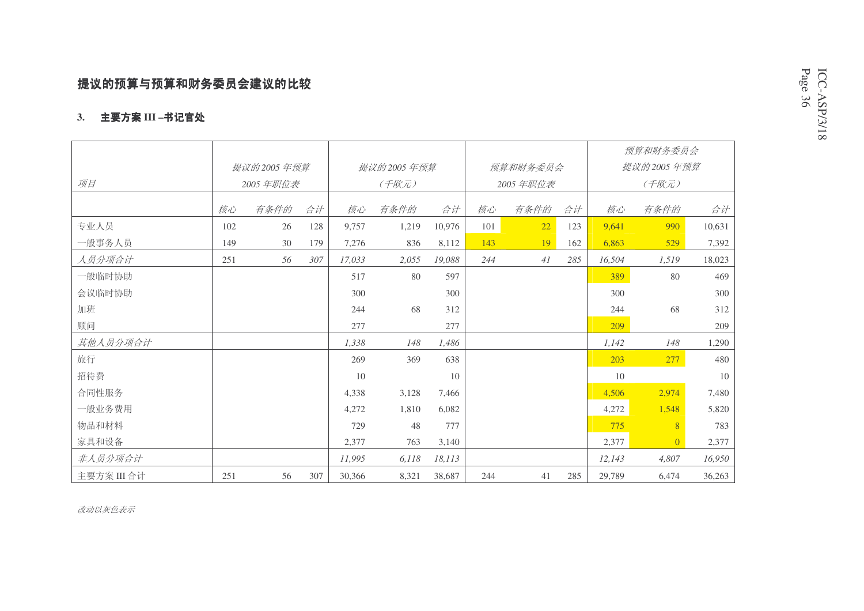# 提议的预算与预算和财务委员会建议的比较

### 3. 主要方案 III –书记官处

|             |     |              |     |        |              |        |     |           |     |        | 预算和财务委员会       |        |
|-------------|-----|--------------|-----|--------|--------------|--------|-----|-----------|-----|--------|----------------|--------|
|             |     | 提议的 2005 年预算 |     |        | 提议的 2005 年预算 |        |     | 预算和财务委员会  |     |        | 提议的2005年预算     |        |
| 项目          |     | 2005 年职位表    |     |        | (千欧元)        |        |     | 2005 年职位表 |     |        | (千欧元)          |        |
|             | 核心  | 有条件的         | 合计  | 核心     | 有条件的         | 合计     | 核心  | 有条件的      | 合计  | 核心     | 有条件的           | 合计     |
| 专业人员        | 102 | 26           | 128 | 9,757  | 1,219        | 10,976 | 101 | 22        | 123 | 9,641  | 990            | 10,631 |
| 一般事务人员      | 149 | 30           | 179 | 7,276  | 836          | 8,112  | 143 | 19        | 162 | 6,863  | 529            | 7,392  |
| 人员分项合计      | 251 | 56           | 307 | 17.033 | 2,055        | 19.088 | 244 | 41        | 285 | 16,504 | 1,519          | 18,023 |
| 一般临时协助      |     |              |     | 517    | 80           | 597    |     |           |     | 389    | 80             | 469    |
| 会议临时协助      |     |              |     | 300    |              | 300    |     |           |     | 300    |                | 300    |
| 加班          |     |              |     | 244    | 68           | 312    |     |           |     | 244    | 68             | 312    |
| 顾问          |     |              |     | 277    |              | 277    |     |           |     | 209    |                | 209    |
| 其他人员分项合计    |     |              |     | 1.338  | 148          | 1.486  |     |           |     | 1,142  | 148            | 1,290  |
| 旅行          |     |              |     | 269    | 369          | 638    |     |           |     | 203    | 277            | 480    |
| 招待费         |     |              |     | 10     |              | 10     |     |           |     | 10     |                | 10     |
| 合同性服务       |     |              |     | 4,338  | 3,128        | 7,466  |     |           |     | 4,506  | 2,974          | 7,480  |
| 一般业务费用      |     |              |     | 4,272  | 1,810        | 6,082  |     |           |     | 4,272  | 1,548          | 5,820  |
| 物品和材料       |     |              |     | 729    | 48           | 777    |     |           |     | 775    | 8              | 783    |
| 家具和设备       |     |              |     | 2,377  | 763          | 3,140  |     |           |     | 2,377  | $\overline{0}$ | 2,377  |
| 非人员分项合计     |     |              |     | 11,995 | 6,118        | 18,113 |     |           |     | 12,143 | 4,807          | 16,950 |
| 主要方案 III 合计 | 251 | 56           | 307 | 30,366 | 8,321        | 38,687 | 244 | 41        | 285 | 29,789 | 6,474          | 36,263 |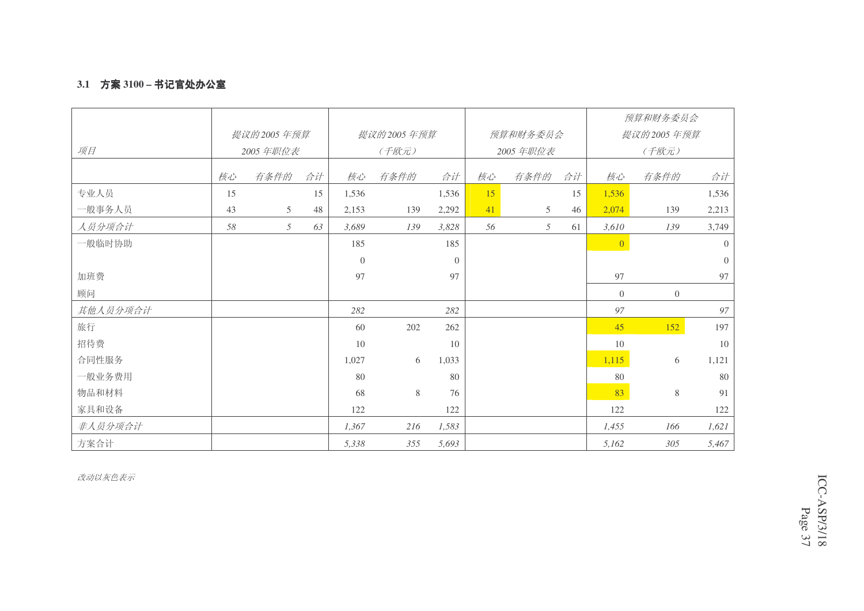### **3.1 方案 3100 – 书记官处办公室**

|          |    |            |    |          |            |          |    |           |    |                 | 预算和财务委员会   |                |
|----------|----|------------|----|----------|------------|----------|----|-----------|----|-----------------|------------|----------------|
|          |    | 提议的2005年预算 |    |          | 提议的2005年预算 |          |    | 预算和财务委员会  |    |                 | 提议的2005年预算 |                |
| 项目       |    | 2005年职位表   |    |          | (千欧元)      |          |    | 2005 年职位表 |    |                 | (千欧元)      |                |
|          | 核心 | 有条件的       | 合计 | 核心       | 有条件的       | 合计       | 核心 | 有条件的      | 合计 | 核心              | 有条件的       | 合计             |
| 专业人员     | 15 |            | 15 | 1,536    |            | 1,536    | 15 |           | 15 | 1,536           |            | 1,536          |
| 一般事务人员   | 43 | 5          | 48 | 2,153    | 139        | 2,292    | 41 | 5         | 46 | 2,074           | 139        | 2,213          |
| 人员分项合计   | 58 | 5          | 63 | 3.689    | 139        | 3,828    | 56 | 5         | 61 | 3,610           | 139        | 3,749          |
| 一般临时协助   |    |            |    | 185      |            | 185      |    |           |    | $\vert 0 \vert$ |            | $\overline{0}$ |
|          |    |            |    | $\theta$ |            | $\Omega$ |    |           |    |                 |            | $\overline{0}$ |
| 加班费      |    |            |    | 97       |            | 97       |    |           |    | 97              |            | 97             |
| 顾问       |    |            |    |          |            |          |    |           |    | $\overline{0}$  | $\theta$   |                |
| 其他人员分项合计 |    |            |    | 282      |            | 282      |    |           |    | 97              |            | 97             |
| 旅行       |    |            |    | 60       | 202        | 262      |    |           |    | 45              | 152        | 197            |
| 招待费      |    |            |    | 10       |            | 10       |    |           |    | 10              |            | 10             |
| 合同性服务    |    |            |    | 1,027    | 6          | 1,033    |    |           |    | 1,115           | 6          | 1,121          |
| 一般业务费用   |    |            |    | 80       |            | 80       |    |           |    | 80              |            | 80             |
| 物品和材料    |    |            |    | 68       | 8          | 76       |    |           |    | 83              | $8\,$      | 91             |
| 家具和设备    |    |            |    | 122      |            | 122      |    |           |    | 122             |            | 122            |
| 非人员分项合计  |    |            |    | 1,367    | 216        | 1,583    |    |           |    | 1,455           | 166        | 1,621          |
| 方案合计     |    |            |    | 5,338    | 355        | 5,693    |    |           |    | 5,162           | 305        | 5,467          |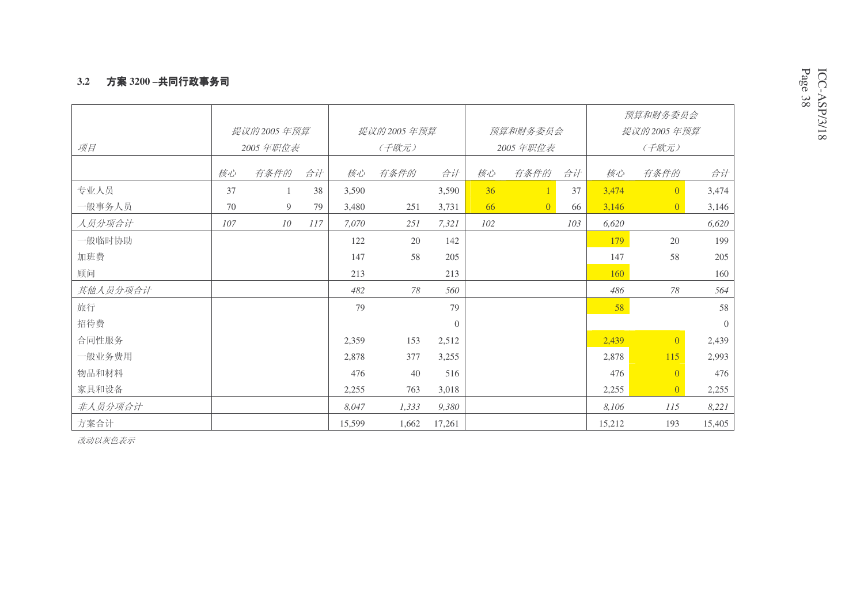#### 3.2 方案 3200 –共同行政事务司

|          |     |                |     |        |            |          |     |                 |     |        | 预算和财务委员会       |          |
|----------|-----|----------------|-----|--------|------------|----------|-----|-----------------|-----|--------|----------------|----------|
|          |     | 提议的2005年预算     |     |        | 提议的2005年预算 |          |     | 预算和财务委员会        |     |        | 提议的2005年预算     |          |
| 项目       |     | 2005 年职位表      |     |        | (千欧元)      |          |     | 2005 年职位表       |     |        | (千欧元)          |          |
|          | 核心  | 有条件的           | 合计  | 核心     | 有条件的       | 合计       | 核心  | 有条件的            | 合计  | 核心     | 有条件的           | 合计       |
|          |     |                |     |        |            |          |     |                 |     |        |                |          |
| 专业人员     | 37  | $\mathbf{1}$   | 38  | 3,590  |            | 3,590    | 36  |                 | 37  | 3,474  | $\overline{0}$ | 3,474    |
| 一般事务人员   | 70  | $\overline{9}$ | 79  | 3,480  | 251        | 3,731    | 66  | $\vert 0 \vert$ | 66  | 3,146  | $\overline{0}$ | 3,146    |
| 人员分项合计   | 107 | 10             | 117 | 7,070  | 251        | 7,321    | 102 |                 | 103 | 6,620  |                | 6,620    |
| 一般临时协助   |     |                |     | 122    | 20         | 142      |     |                 |     | 179    | 20             | 199      |
| 加班费      |     |                |     | 147    | 58         | 205      |     |                 |     | 147    | 58             | 205      |
| 顾问       |     |                |     | 213    |            | 213      |     |                 |     | 160    |                | 160      |
| 其他人员分项合计 |     |                |     | 482    | 78         | 560      |     |                 |     | 486    | 78             | 564      |
| 旅行       |     |                |     | 79     |            | 79       |     |                 |     | 58     |                | 58       |
| 招待费      |     |                |     |        |            | $\theta$ |     |                 |     |        |                | $\theta$ |
| 合同性服务    |     |                |     | 2,359  | 153        | 2,512    |     |                 |     | 2,439  | $\overline{0}$ | 2,439    |
| 一般业务费用   |     |                |     | 2,878  | 377        | 3,255    |     |                 |     | 2,878  | 115            | 2,993    |
| 物品和材料    |     |                |     | 476    | 40         | 516      |     |                 |     | 476    | $\overline{0}$ | 476      |
| 家具和设备    |     |                |     | 2,255  | 763        | 3,018    |     |                 |     | 2,255  | $\overline{0}$ | 2,255    |
| 非人员分项合计  |     |                |     | 8,047  | 1,333      | 9,380    |     |                 |     | 8,106  | 115            | 8,221    |
| 方案合计     |     |                |     | 15,599 | 1,662      | 17,261   |     |                 |     | 15,212 | 193            | 15,405   |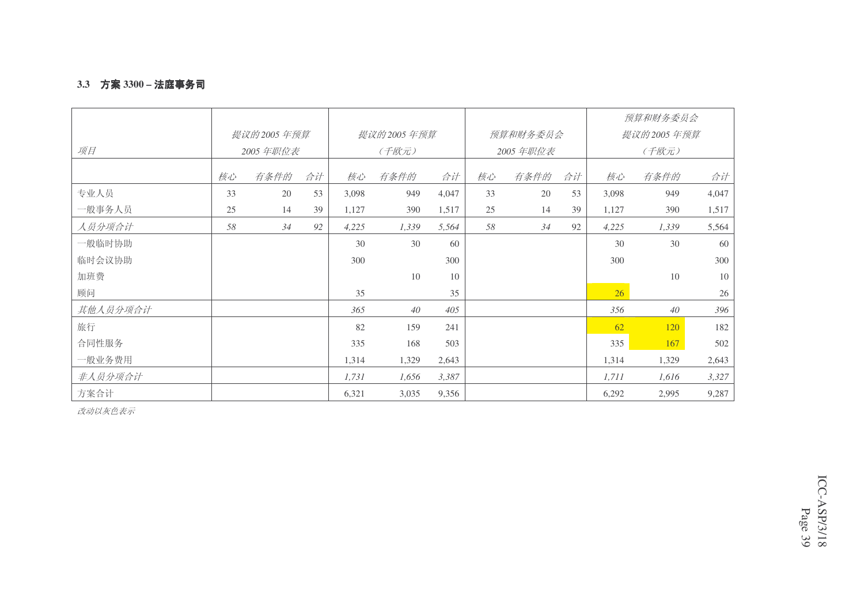### **3.3 方案 3300 – 法庭事务司**

|          |    |              |    |       |            |       |    |           |    |                 | 预算和财务委员会     |        |
|----------|----|--------------|----|-------|------------|-------|----|-----------|----|-----------------|--------------|--------|
|          |    | 提议的 2005 年预算 |    |       | 提议的2005年预算 |       |    | 预算和财务委员会  |    |                 | 提议的 2005 年预算 |        |
| 项目       |    | 2005 年职位表    |    |       | (千欧元)      |       |    | 2005 年职位表 |    |                 | (千欧元)        |        |
|          | 核心 | 有条件的         | 合计 | 核心    | 有条件的       | 合计    | 核心 | 有条件的      | 合计 | 核心              | 有条件的         | 合计     |
| 专业人员     | 33 | 20           | 53 | 3,098 | 949        | 4,047 | 33 | 20        | 53 | 3,098           | 949          | 4,047  |
| 一般事务人员   | 25 | 14           | 39 | 1,127 | 390        | 1,517 | 25 | 14        | 39 | 1,127           | 390          | 1,517  |
| 人员分项合计   | 58 | 34           | 92 | 4,225 | 1,339      | 5,564 | 58 | 34        | 92 | 4,225           | 1,339        | 5,564  |
| 一般临时协助   |    |              |    | 30    | 30         | 60    |    |           |    | 30              | 30           | 60     |
| 临时会议协助   |    |              |    | 300   |            | 300   |    |           |    | 300             |              | 300    |
| 加班费      |    |              |    |       | 10         | 10    |    |           |    |                 | $10\,$       | 10     |
| 顾问       |    |              |    | 35    |            | 35    |    |           |    | 26 <sup>°</sup> |              | $26\,$ |
| 其他人员分项合计 |    |              |    | 365   | 40         | 405   |    |           |    | 356             | 40           | 396    |
| 旅行       |    |              |    | 82    | 159        | 241   |    |           |    | 62              | 120          | 182    |
| 合同性服务    |    |              |    | 335   | 168        | 503   |    |           |    | 335             | 167          | 502    |
| 一般业务费用   |    |              |    | 1,314 | 1,329      | 2,643 |    |           |    | 1,314           | 1,329        | 2,643  |
| 非人员分项合计  |    |              |    | 1,731 | 1,656      | 3,387 |    |           |    | 1,711           | 1,616        | 3,327  |
| 方案合计     |    |              |    | 6,321 | 3,035      | 9,356 |    |           |    | 6,292           | 2,995        | 9,287  |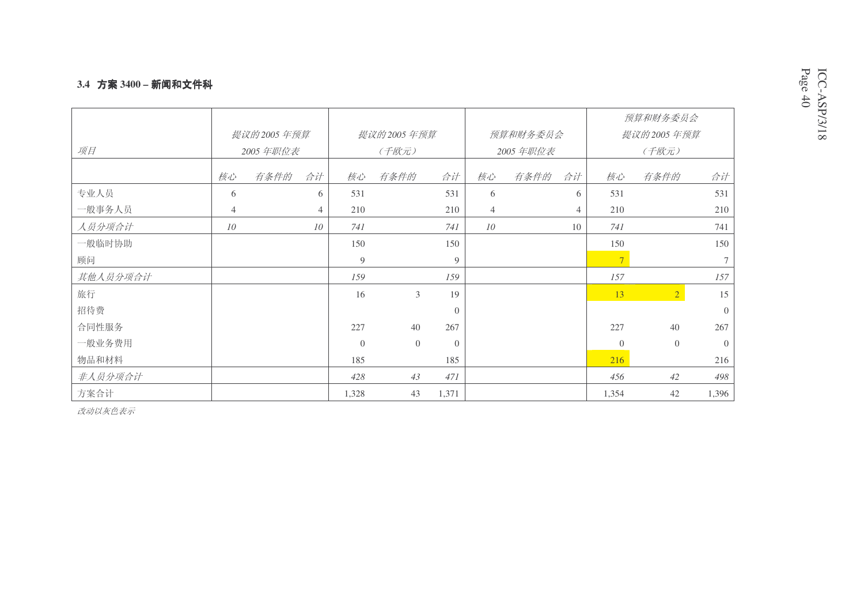### <mark>3.4 方案 3400 – 新闻和文件科</mark>

|          |                |              |                |          |                |                |                |            |                | 预算和财务委员会       |                 |
|----------|----------------|--------------|----------------|----------|----------------|----------------|----------------|------------|----------------|----------------|-----------------|
|          |                | 提议的 2005 年预算 |                |          | 提议的2005年预算     |                |                | 预算和财务委员会   |                | 提议的2005年预算     |                 |
| 项目       |                | 2005 年职位表    |                |          | (千欧元)          |                |                | 2005 年职位表  |                | (千欧元)          |                 |
|          | 核心             | 有条件的         | 合计             | 核心       | 有条件的           | 合计             | 核心             | 有条件的<br>合计 | 核心             | 有条件的           | 合计              |
| 专业人员     | 6              |              | 6              | 531      |                | 531            | 6              | 6          | 531            |                | 531             |
| 一般事务人员   | $\overline{4}$ |              | $\overline{4}$ | 210      |                | 210            | $\overline{4}$ | 4          | 210            |                | 210             |
| 人员分项合计   | 10             |              | 10             | 741      |                | 741            | 10             | 10         | 741            |                | 741             |
| 一般临时协助   |                |              |                | 150      |                | 150            |                |            | 150            |                | 150             |
| 顾问       |                |              |                | 9        |                | 9              |                |            | 7 <sup>1</sup> |                | $7\overline{ }$ |
| 其他人员分项合计 |                |              |                | 159      |                | 159            |                |            | 157            |                | 157             |
| 旅行       |                |              |                | 16       | 3              | 19             |                |            | 13             | $\overline{2}$ | 15              |
| 招待费      |                |              |                |          |                | $\overline{0}$ |                |            |                |                | $\overline{0}$  |
| 合同性服务    |                |              |                | 227      | 40             | 267            |                |            | 227            | 40             | 267             |
| 一般业务费用   |                |              |                | $\Omega$ | $\overline{0}$ | $\Omega$       |                |            | $\theta$       | $\overline{0}$ | $\overline{0}$  |
| 物品和材料    |                |              |                | 185      |                | 185            |                |            | 216            |                | 216             |
| 非人员分项合计  |                |              |                | 428      | 43             | 471            |                |            | 456            | 42             | 498             |
| 方案合计     |                |              |                | 1,328    | 43             | 1,371          |                |            | 1,354          | 42             | 1,396           |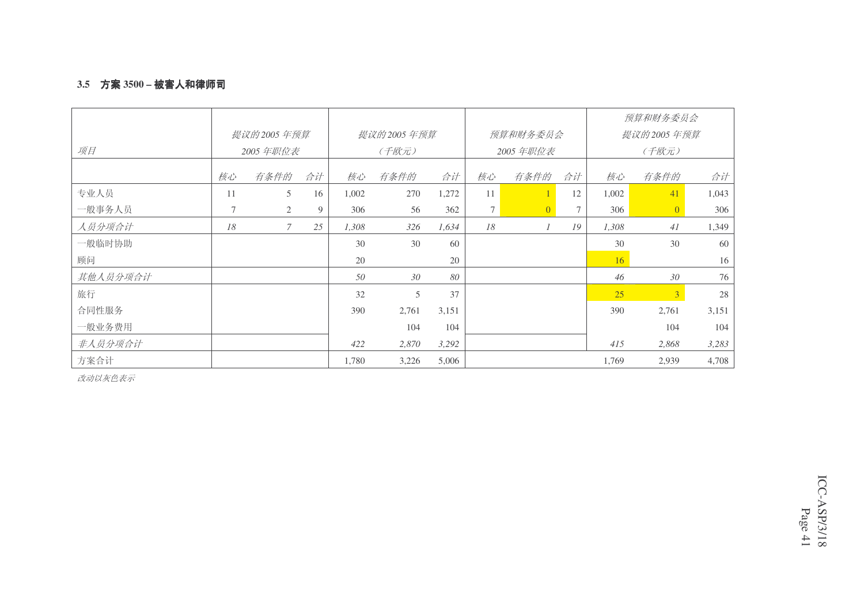### 3.5 方案 3500 – 被害人和律师司

|          |    |               |    |       |              |       |    |                |    |                 | 预算和财务委员会       |       |
|----------|----|---------------|----|-------|--------------|-------|----|----------------|----|-----------------|----------------|-------|
|          |    | 提议的 2005 年预算  |    |       | 提议的 2005 年预算 |       |    | 预算和财务委员会       |    |                 | 提议的2005年预算     |       |
| 项目       |    | 2005 年职位表     |    |       | (千欧元)        |       |    | 2005 年职位表      |    |                 | (千欧元)          |       |
|          | 核心 | 有条件的          | 合计 | 核心    | 有条件的         | 合计    | 核心 | 有条件的           | 合计 | 核心              | 有条件的           | 合计    |
| 专业人员     | 11 | 5             | 16 | 1,002 | 270          | 1,272 | 11 |                | 12 | 1,002           | 41             | 1,043 |
| 一般事务人员   | 7  | 2             | 9  | 306   | 56           | 362   | 7  | $\overline{0}$ | 7  | 306             | $\overline{0}$ | 306   |
| 人员分项合计   | 18 | $\mathcal{I}$ | 25 | 1,308 | 326          | 1,634 | 18 | $\mathcal{I}$  | 19 | 1,308           | 41             | 1,349 |
| 一般临时协助   |    |               |    | 30    | 30           | 60    |    |                |    | 30              | 30             | 60    |
| 顾问       |    |               |    | 20    |              | 20    |    |                |    | 16 <sup>1</sup> |                | 16    |
| 其他人员分项合计 |    |               |    | 50    | 30           | 80    |    |                |    | 46              | 30             | 76    |
| 旅行       |    |               |    | 32    | 5            | 37    |    |                |    | 25              | $\overline{3}$ | 28    |
| 合同性服务    |    |               |    | 390   | 2,761        | 3,151 |    |                |    | 390             | 2,761          | 3,151 |
| 一般业务费用   |    |               |    |       | 104          | 104   |    |                |    |                 | 104            | 104   |
| 非人员分项合计  |    |               |    | 422   | 2,870        | 3,292 |    |                |    | 415             | 2,868          | 3,283 |
| 方案合计     |    |               |    | 1,780 | 3,226        | 5,006 |    |                |    | 1,769           | 2,939          | 4,708 |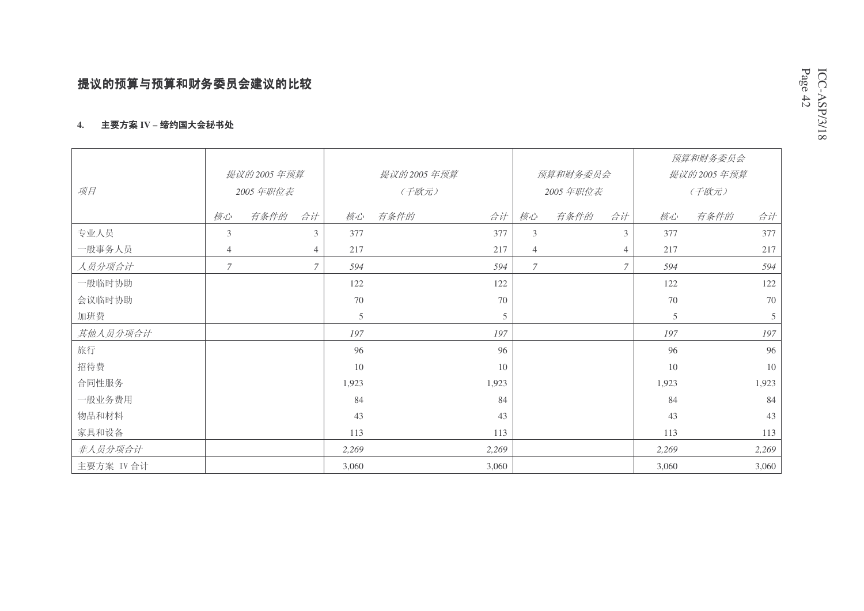#### 4. 生要方案 IV – 缔约国大会秘书处

|            |                  |            |                |       |            |       |                |           |                |       | 预算和财务委员会     |       |
|------------|------------------|------------|----------------|-------|------------|-------|----------------|-----------|----------------|-------|--------------|-------|
|            |                  | 提议的2005年预算 |                |       | 提议的2005年预算 |       |                | 预算和财务委员会  |                |       | 提议的 2005 年预算 |       |
| 项目         |                  | 2005 年职位表  |                |       | (千欧元)      |       |                | 2005 年职位表 |                |       | (千欧元)        |       |
|            | 核心               | 有条件的       | 合计             | 核心    | 有条件的       | 合计    | 核心             | 有条件的      | 合计             | 核心    | 有条件的         | 合计    |
| 专业人员       | 3                |            | $\mathcal{F}$  | 377   |            | 377   | 3              |           | 3              | 377   |              | 377   |
| 一般事务人员     | $\overline{4}$   |            | $\overline{4}$ | 217   |            | 217   | $\overline{4}$ |           | $\overline{4}$ | 217   |              | 217   |
| 人员分项合计     | $\boldsymbol{7}$ |            | $\mathcal{I}$  | 594   |            | 594   | $\overline{7}$ |           | $\mathcal{I}$  | 594   |              | 594   |
| 一般临时协助     |                  |            |                | 122   |            | 122   |                |           |                | 122   |              | 122   |
| 会议临时协助     |                  |            |                | 70    |            | 70    |                |           |                | 70    |              | 70    |
| 加班费        |                  |            |                | 5     |            | 5     |                |           |                | 5     |              | 5     |
| 其他人员分项合计   |                  |            |                | 197   |            | 197   |                |           |                | 197   |              | 197   |
| 旅行         |                  |            |                | 96    |            | 96    |                |           |                | 96    |              | 96    |
| 招待费        |                  |            |                | 10    |            | 10    |                |           |                | 10    |              | 10    |
| 合同性服务      |                  |            |                | 1,923 |            | 1,923 |                |           |                | 1,923 |              | 1,923 |
| 一般业务费用     |                  |            |                | 84    |            | 84    |                |           |                | 84    |              | 84    |
| 物品和材料      |                  |            |                | 43    |            | 43    |                |           |                | 43    |              | 43    |
| 家具和设备      |                  |            |                | 113   |            | 113   |                |           |                | 113   |              | 113   |
| 非人员分项合计    |                  |            |                | 2,269 |            | 2,269 |                |           |                | 2,269 |              | 2,269 |
| 主要方案 IV 合计 |                  |            |                | 3,060 |            | 3,060 |                |           |                | 3,060 |              | 3,060 |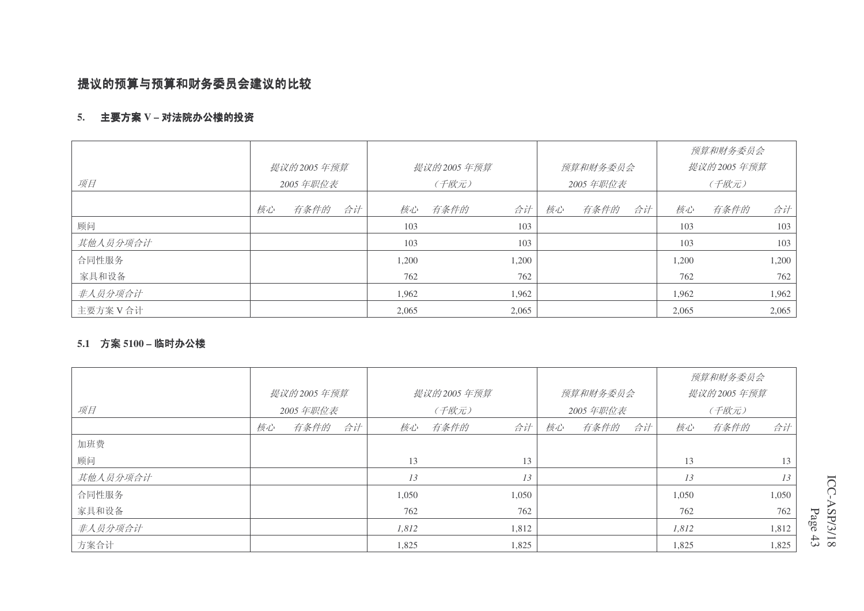# 提议的预算与预算和财务委员会建议的比较

### 5. 主要方案Ⅴ - 对法院办公楼的投资

|          |    |            |    |       |            |       |    |          |    |       | 预算和财务委员会   |       |
|----------|----|------------|----|-------|------------|-------|----|----------|----|-------|------------|-------|
|          |    | 提议的2005年预算 |    |       | 提议的2005年预算 |       |    | 预算和财务委员会 |    |       | 提议的2005年预算 |       |
| 项目       |    | 2005 年职位表  |    |       | (千欧元)      |       |    | 2005年职位表 |    |       | (千欧元)      |       |
|          | 核心 | 有条件的       | 合计 | 核心    | 有条件的       | 合计    | 核心 | 有条件的     | 合计 | 核心    | 有条件的       | 合计    |
| 顾问       |    |            |    | 103   |            | 103   |    |          |    | 103   |            | 103   |
| 其他人员分项合计 |    |            |    | 103   |            | 103   |    |          |    | 103   |            | 103   |
| 合同性服务    |    |            |    | 1,200 |            | 1,200 |    |          |    | 1,200 |            | 1,200 |
| 家具和设备    |    |            |    | 762   |            | 762   |    |          |    | 762   |            | 762   |
| 非人员分项合计  |    |            |    | 1,962 |            | 1,962 |    |          |    | 1,962 |            | 1,962 |
| 主要方案V合计  |    |            |    | 2,065 |            | 2,065 |    |          |    | 2,065 |            | 2,065 |

#### **5.1 方案 5100 – 临时办公楼**

|          |    |            |    |       |            |       |    |           |    |       | 预算和财务委员会   |       |
|----------|----|------------|----|-------|------------|-------|----|-----------|----|-------|------------|-------|
|          |    | 提议的2005年预算 |    |       | 提议的2005年预算 |       |    | 预算和财务委员会  |    |       | 提议的2005年预算 |       |
| 项目       |    | 2005 年职位表  |    |       | (千欧元)      |       |    | 2005 年职位表 |    |       | (千欧元)      |       |
|          | 核心 | 有条件的       | 合计 | 核心    | 有条件的       | 合计    | 核心 | 有条件的      | 合计 | 核心    | 有条件的       | 合计    |
| 加班费      |    |            |    |       |            |       |    |           |    |       |            |       |
| 顾问       |    |            |    | 13    |            | 13    |    |           |    | 13    |            | 13    |
| 其他人员分项合计 |    |            |    | 13    |            | 13    |    |           |    | 13    |            | 13    |
| 合同性服务    |    |            |    | 1,050 |            | 1,050 |    |           |    | 1,050 |            | 1,050 |
| 家具和设备    |    |            |    | 762   |            | 762   |    |           |    | 762   |            | 762   |
| 非人员分项合计  |    |            |    | 1,812 |            | 1,812 |    |           |    | 1,812 |            | 1,812 |
| 方案合计     |    |            |    | 1,825 |            | 1,825 |    |           |    | 1,825 |            | 1,825 |

ICC-ASP/3/18 Page 4 3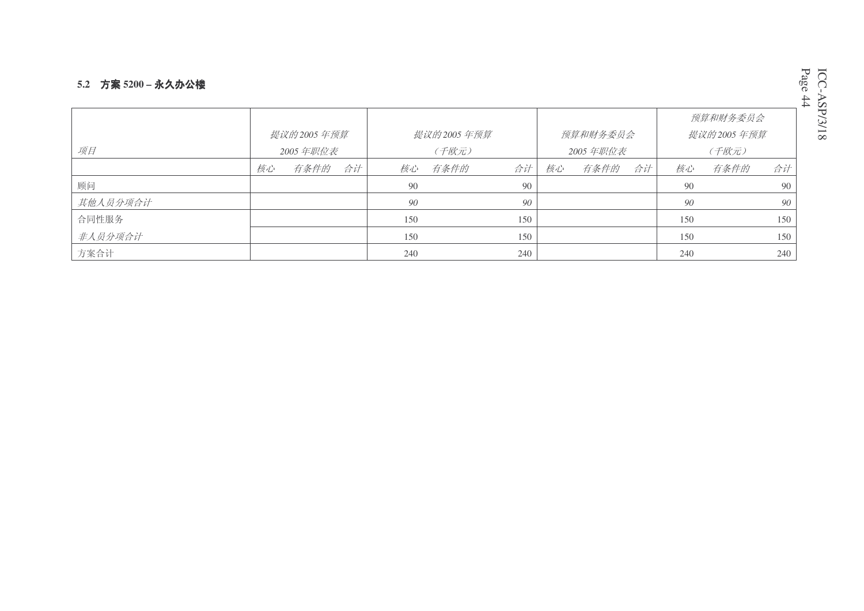### **5.2 方案 5200 – 永久办公楼**

|          |              |      |              |     |           |     |            |      |    |     | 预算和财务委员会 |     |
|----------|--------------|------|--------------|-----|-----------|-----|------------|------|----|-----|----------|-----|
|          | 提议的 2005 年预算 |      | 提议的 2005 年预算 |     | 预算和财务委员会  |     | 提议的2005年预算 |      |    |     |          |     |
| 项目       | 2005 年职位表    |      | (千欧元)        |     | 2005 年职位表 |     | (千欧元)      |      |    |     |          |     |
|          | 核心           | 有条件的 | 合计           | 核心  | 有条件的      | 合计  | 核心         | 有条件的 | 合计 | 核心  | 有条件的     | 合计  |
| 顾问       |              |      |              | 90  |           | 90  |            |      |    | 90  |          | 90  |
| 其他人员分项合计 |              |      |              | 90  |           | 90  |            |      |    | 90  |          | 90  |
| 合同性服务    |              |      |              | 150 |           | 150 |            |      |    | 150 |          | 150 |
| 非人员分项合计  |              |      |              | 150 |           | 150 |            |      |    | 150 |          | 150 |
| 方案合计     |              |      |              | 240 |           | 240 |            |      |    | 240 |          | 240 |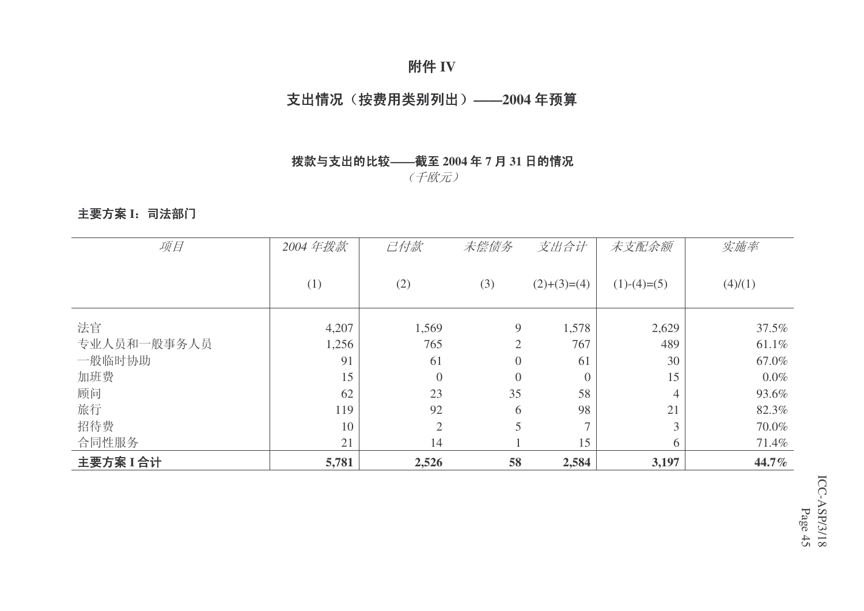# 附件 IV

# 支出情况(按费用类别列出) ——2004年预算

# 按款与支出的比较——截至 2004 年 7 月 31 日的情况

(千欧元)

# 主要方案 I: 司法部门

| 项目          | 2004年拨款 | 己付款            | 未偿债务             | 支出合计          | 未支配余额         | 实施率     |
|-------------|---------|----------------|------------------|---------------|---------------|---------|
|             |         |                |                  |               |               |         |
|             | (1)     | (2)            | (3)              | $(2)+(3)=(4)$ | $(1)-(4)=(5)$ | (4)/(1) |
|             |         |                |                  |               |               |         |
| 法官          | 4,207   | 1,569          | 9                | 1,578         | 2,629         | 37.5%   |
| 专业人员和一般事务人员 | 1,256   | 765            | $\overline{2}$   | 767           | 489           | 61.1%   |
| 一般临时协助      | 91      | 61             | $\boldsymbol{0}$ | 61            | 30            | 67.0%   |
| 加班费         | 15      | $\overline{0}$ | $\overline{0}$   | $\theta$      | 15            | $0.0\%$ |
| 顾问          | 62      | 23             | 35               | 58            | 4             | 93.6%   |
| 旅行          | 119     | 92             | 6                | 98            | 21            | 82.3%   |
| 招待费         | 10      | $\overline{2}$ | 5                | $\mathcal{L}$ | 3             | 70.0%   |
| 合同性服务       | 21      | 14             |                  | 15            | 6             | 71.4%   |
| 主要方案I合计     | 5,781   | 2,526          | 58               | 2,584         | 3,197         | 44.7%   |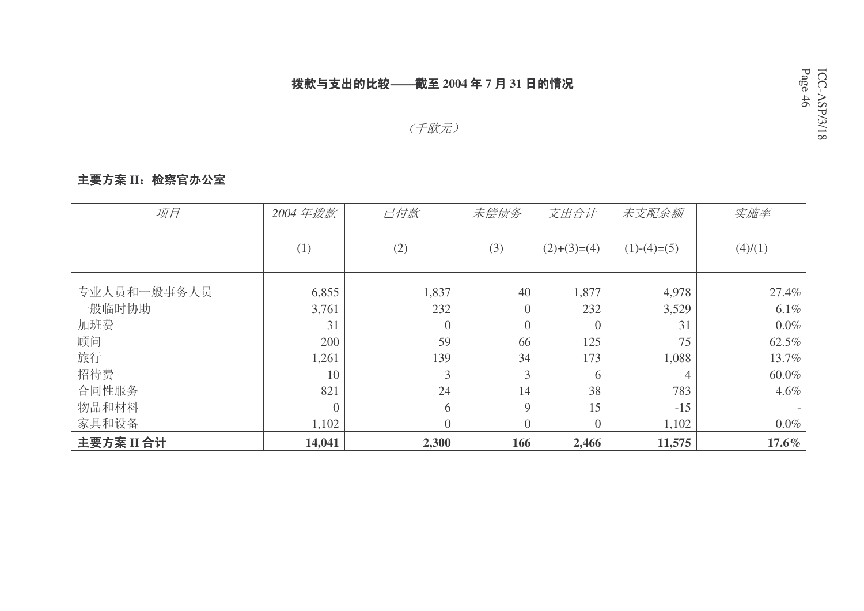# 按款与支出的比较——截至 2004 年 7 月 31 日的情况

# (千欧元)

# 主要方案 II: 检察官办公室

| 项目          | 2004年拨款        | 己付款              | 未偿债务     | 支出合计          | 未支配余额         | 实施率     |
|-------------|----------------|------------------|----------|---------------|---------------|---------|
|             | (1)            | (2)              | (3)      | $(2)+(3)=(4)$ | $(1)-(4)=(5)$ | (4)/(1) |
| 专业人员和一般事务人员 | 6,855          | 1,837            | 40       | 1,877         | 4,978         | 27.4%   |
| 一般临时协助      | 3,761          | 232              | $\theta$ | 232           | 3,529         | $6.1\%$ |
| 加班费         | 31             | $\boldsymbol{0}$ | $\theta$ | $\theta$      | 31            | $0.0\%$ |
| 顾问          | 200            | 59               | 66       | 125           | 75            | 62.5%   |
| 旅行          | 1,261          | 139              | 34       | 173           | 1,088         | 13.7%   |
| 招待费         | 10             | 3                | 3        | 6             | 4             | 60.0%   |
| 合同性服务       | 821            | 24               | 14       | 38            | 783           | $4.6\%$ |
| 物品和材料       | $\overline{0}$ | 6                | 9        | 15            | $-15$         |         |
| 家具和设备       | 1,102          | $\overline{0}$   | $\theta$ | $\Omega$      | 1,102         | $0.0\%$ |
| 主要方案 II 合计  | 14,041         | 2,300            | 166      | 2,466         | 11,575        | 17.6%   |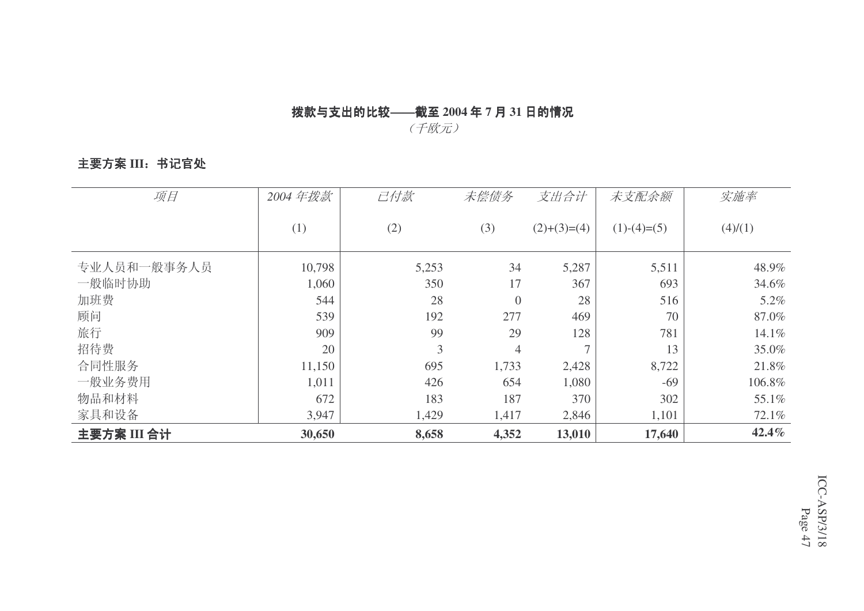# 按款与支出的比较——截至 2004 年 7 月 31 日的情况

(千欧元)

# 主要方案 III: 书记官处

| 项目          | 2004年拨款 | 己付款   | 未偿债务             | 支出合计          | 未支配余额         | 实施率     |
|-------------|---------|-------|------------------|---------------|---------------|---------|
|             | (1)     | (2)   | (3)              | $(2)+(3)=(4)$ | $(1)-(4)=(5)$ | (4)/(1) |
| 专业人员和一般事务人员 | 10,798  | 5,253 | 34               | 5,287         | 5,511         | 48.9%   |
| 一般临时协助      | 1,060   | 350   | 17               | 367           | 693           | 34.6%   |
| 加班费         | 544     | 28    | $\boldsymbol{0}$ | 28            | 516           | 5.2%    |
| 顾问          | 539     | 192   | 277              | 469           | 70            | 87.0%   |
| 旅行          | 909     | 99    | 29               | 128           | 781           | 14.1%   |
| 招待费         | 20      | 3     | $\overline{4}$   | ⇁             | 13            | 35.0%   |
| 合同性服务       | 11,150  | 695   | 1,733            | 2,428         | 8,722         | 21.8%   |
| 一般业务费用      | 1,011   | 426   | 654              | 1,080         | $-69$         | 106.8%  |
| 物品和材料       | 672     | 183   | 187              | 370           | 302           | 55.1%   |
| 家具和设备       | 3,947   | 1,429 | 1,417            | 2,846         | 1,101         | 72.1%   |
| 主要方案 III 合计 | 30,650  | 8,658 | 4,352            | 13,010        | 17,640        | 42.4%   |